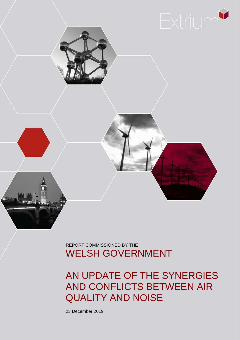

REPORT COMMISSIONED BY THE WELSH GOVERNMENT

AN UPDATE OF THE SYNERGIES AND CONFLICTS BETWEEN AIR QUALITY AND NOISE

23 December 2019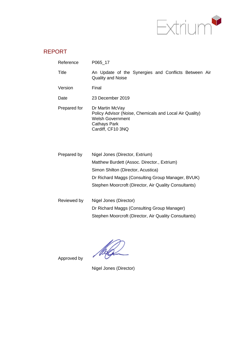

# REPORT

| Reference    | P065_17                                                                                                                                                                                                                            |  |  |  |  |  |  |  |  |  |  |  |  |
|--------------|------------------------------------------------------------------------------------------------------------------------------------------------------------------------------------------------------------------------------------|--|--|--|--|--|--|--|--|--|--|--|--|
| Title        | An Update of the Synergies and Conflicts Between Air<br><b>Quality and Noise</b>                                                                                                                                                   |  |  |  |  |  |  |  |  |  |  |  |  |
| Version      | Final                                                                                                                                                                                                                              |  |  |  |  |  |  |  |  |  |  |  |  |
| Date         | 23 December 2019                                                                                                                                                                                                                   |  |  |  |  |  |  |  |  |  |  |  |  |
| Prepared for | Dr Martin McVay<br>Policy Advisor (Noise, Chemicals and Local Air Quality)<br><b>Welsh Government</b><br><b>Cathays Park</b><br>Cardiff, CF10 3NQ                                                                                  |  |  |  |  |  |  |  |  |  |  |  |  |
| Prepared by  | Nigel Jones (Director, Extrium)<br>Matthew Burdett (Assoc. Director., Extrium)<br>Simon Shilton (Director, Acustica)<br>Dr Richard Maggs (Consulting Group Manager, BVUK)<br>Stephen Moorcroft (Director, Air Quality Consultants) |  |  |  |  |  |  |  |  |  |  |  |  |

| Reviewed by | Nigel Jones (Director)                                |
|-------------|-------------------------------------------------------|
|             | Dr Richard Maggs (Consulting Group Manager)           |
|             | Stephen Moorcroft (Director, Air Quality Consultants) |

Approved by

Nigel Jones (Director)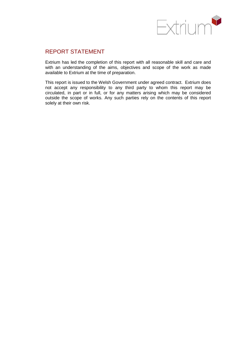

## REPORT STATEMENT

Extrium has led the completion of this report with all reasonable skill and care and with an understanding of the aims, objectives and scope of the work as made available to Extrium at the time of preparation.

This report is issued to the Welsh Government under agreed contract. Extrium does not accept any responsibility to any third party to whom this report may be circulated, in part or in full, or for any matters arising which may be considered outside the scope of works. Any such parties rely on the contents of this report solely at their own risk.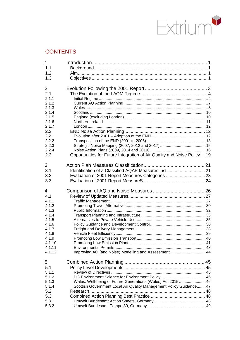

# **CONTENTS**

| 1                |                                                                          |  |
|------------------|--------------------------------------------------------------------------|--|
| 1.1              |                                                                          |  |
| 1.2              |                                                                          |  |
| 1.3              |                                                                          |  |
| $\overline{2}$   |                                                                          |  |
| 2.1              |                                                                          |  |
| 2.1.1            |                                                                          |  |
| 2.1.2            |                                                                          |  |
| 2.1.3            |                                                                          |  |
| 2.1.4            |                                                                          |  |
| 2.1.5            |                                                                          |  |
| 2.1.6            |                                                                          |  |
| 2.1.7            |                                                                          |  |
| 2.2              |                                                                          |  |
| 2.2.1            |                                                                          |  |
| 2.2.2            |                                                                          |  |
| 2.2.3<br>2.2.4   |                                                                          |  |
| 2.3              | Opportunities for Future Integration of Air Quality and Noise Policy  19 |  |
|                  |                                                                          |  |
| 3                |                                                                          |  |
| 3.1              |                                                                          |  |
| 3.2              | Evaluation of 2001 Report Measures Categories  23                        |  |
| 3.3              |                                                                          |  |
|                  |                                                                          |  |
| 4                |                                                                          |  |
| 4.1              |                                                                          |  |
| 4.1.1            |                                                                          |  |
| 4.1.2            |                                                                          |  |
| 4.1.3            |                                                                          |  |
| 4.1.4            |                                                                          |  |
| 4.1.5            |                                                                          |  |
| 4.1.6            |                                                                          |  |
| 4.1.7            |                                                                          |  |
| 4.1.8            |                                                                          |  |
| 4.1.9            |                                                                          |  |
| 4.1.10           |                                                                          |  |
| 4.1.11<br>4.1.12 | Improving AQ (and Noise) Modelling and Assessment 44                     |  |
|                  |                                                                          |  |
| 5                |                                                                          |  |
| 5.1              |                                                                          |  |
| 5.1.1            |                                                                          |  |
| 5.1.2            |                                                                          |  |
| 5.1.3            | Wales: Well-being of Future Generations (Wales) Act 2015  46             |  |
| 5.1.4            | Scottish Government Local Air Quality Management Policy Guidance 47      |  |
| 5.2<br>5.3       |                                                                          |  |
| 5.3.1            |                                                                          |  |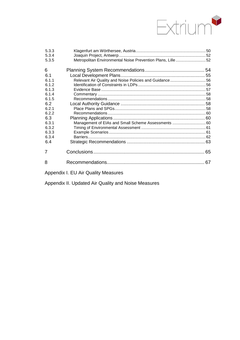

| 5.3.3<br>5.3.4 |                                                                                              |  |
|----------------|----------------------------------------------------------------------------------------------|--|
| 5.3.5          | Metropolitan Environmental Noise Prevention Plans, Lille52                                   |  |
| 6              |                                                                                              |  |
| 6.1            |                                                                                              |  |
| 6.1.1          | Relevant Air Quality and Noise Policies and Guidance56                                       |  |
| 6.1.2          |                                                                                              |  |
| 6.1.3          |                                                                                              |  |
| 6.1.4          |                                                                                              |  |
| 6.1.5          |                                                                                              |  |
| 6.2            |                                                                                              |  |
| 6.2.1          |                                                                                              |  |
| 6.2.2          |                                                                                              |  |
| 6.3            |                                                                                              |  |
| 6.3.1          | Management of EIAs and Small Scheme Assessments  60                                          |  |
| 6.3.2          |                                                                                              |  |
| 6.3.3          |                                                                                              |  |
| 6.3.4          |                                                                                              |  |
| 6.4            |                                                                                              |  |
| 7              |                                                                                              |  |
| 8              |                                                                                              |  |
|                | A mean of the $\Gamma$ . $\Gamma$ is $\Gamma$ is $\Gamma$ is $\Gamma$ is the set of $\Gamma$ |  |

[Appendix I. EU Air Quality Measures](#page-73-0)

[Appendix II. Updated Air Quality and Noise Measures](#page-76-0)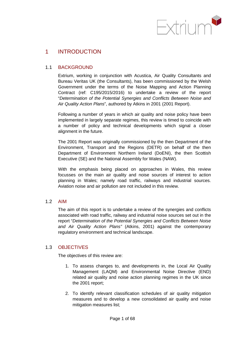

# <span id="page-5-0"></span>1 INTRODUCTION

### <span id="page-5-1"></span>1.1 BACKGROUND

Extrium, working in conjunction with Acustica, Air Quality Consultants and Bureau Veritas UK (the Consultants), has been commissioned by the Welsh Government under the terms of the Noise Mapping and Action Planning Contract (ref: C195/2015/2016) to undertake a review of the report "*Determination of the Potential Synergies and Conflicts Between Noise and Air Quality Action Plans*", authored by Atkins in 2001 (2001 Report).

Following a number of years in which air quality and noise policy have been implemented in largely separate regimes, this review is timed to coincide with a number of policy and technical developments which signal a closer alignment in the future.

The 2001 Report was originally commissioned by the then Department of the Environment, Transport and the Regions (DETR) on behalf of the then Department of Environment Northern Ireland (DoENI), the then Scottish Executive (SE) and the National Assembly for Wales (NAW).

With the emphasis being placed on approaches in Wales, this review focusses on the main air quality and noise sources of interest to action planning in Wales; namely road traffic, railways and industrial sources. Aviation noise and air pollution are not included in this review.

### <span id="page-5-2"></span>1.2 AIM

The aim of this report is to undertake a review of the synergies and conflicts associated with road traffic, railway and industrial noise sources set out in the report "*Determination of the Potential Synergies and Conflicts Between Noise and Air Quality Action Plans"* (Atkins, 2001) against the contemporary regulatory environment and technical landscape.

### <span id="page-5-3"></span>1.3 OBJECTIVES

The objectives of this review are:

- 1. To assess changes to, and developments in, the Local Air Quality Management (LAQM) and Environmental Noise Directive (END) related air quality and noise action planning regimes in the UK since the 2001 report;
- 2. To identify relevant classification schedules of air quality mitigation measures and to develop a new consolidated air quality and noise mitigation measures list;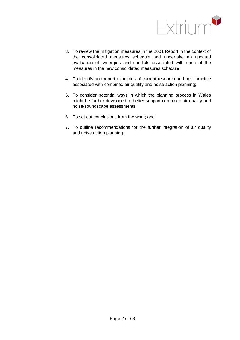

- 3. To review the mitigation measures in the 2001 Report in the context of the consolidated measures schedule and undertake an updated evaluation of synergies and conflicts associated with each of the measures in the new consolidated measures schedule;
- 4. To identify and report examples of current research and best practice associated with combined air quality and noise action planning;
- 5. To consider potential ways in which the planning process in Wales might be further developed to better support combined air quality and noise/soundscape assessments;
- 6. To set out conclusions from the work; and
- 7. To outline recommendations for the further integration of air quality and noise action planning.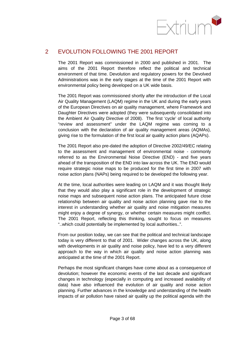

# <span id="page-7-0"></span>2 EVOLUTION FOLLOWING THE 2001 REPORT

The 2001 Report was commissioned in 2000 and published in 2001. The aims of the 2001 Report therefore reflect the political and technical environment of that time. Devolution and regulatory powers for the Devolved Administrations was in the early stages at the time of the 2001 Report with environmental policy being developed on a UK wide basis.

The 2001 Report was commissioned shortly after the introduction of the Local Air Quality Management (LAQM) regime in the UK and during the early years of the European Directives on air quality management, where Framework and Daughter Directives were adopted (they were subsequently consolidated into the Ambient Air Quality Directive of 2008). The first 'cycle' of local authority "review and assessment" under the LAQM regime was coming to a conclusion with the declaration of air quality management areas (AQMAs), giving rise to the formulation of the first local air quality action plans (AQAPs).

The 2001 Report also pre-dated the adoption of Directive 2002/49/EC relating to the assessment and management of environmental noise - commonly referred to as the Environmental Noise Directive (END) - and five years ahead of the transposition of the END into law across the UK. The END would require strategic noise maps to be produced for the first time in 2007 with noise action plans (NAPs) being required to be developed the following year.

At the time, local authorities were leading on LAQM and it was thought likely that they would also play a significant role in the development of strategic noise maps and subsequent noise action plans. The anticipated future close relationship between air quality and noise action planning gave rise to the interest in understanding whether air quality and noise mitigation measures might enjoy a degree of synergy, or whether certain measures might conflict. The 2001 Report, reflecting this thinking, sought to focus on measures "..which could potentially be implemented by local authorities..".

From our position today, we can see that the political and technical landscape today is very different to that of 2001. Wider changes across the UK, along with developments in air quality and noise policy, have led to a very different approach to the way in which air quality and noise action planning was anticipated at the time of the 2001 Report.

Perhaps the most significant changes have come about as a consequence of devolution; however the economic events of the last decade and significant changes in technology (especially in computing and increased availability of data) have also influenced the evolution of air quality and noise action planning. Further advances in the knowledge and understanding of the health impacts of air pollution have raised air quality up the political agenda with the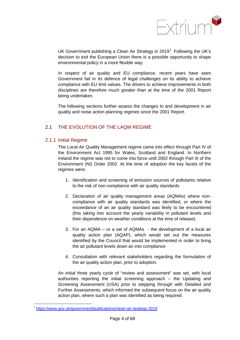

UK Government publishing a Clean Air Strategy in 20[1](#page-10-0)9<sup>1</sup>. Following the UK's decision to exit the European Union there is a possible opportunity to shape environmental policy in a more flexible way.

In respect of air quality and EU compliance, recent years have seen Government fail in its defence of legal challenges on its ability to achieve compliance with EU limit values. The drivers to achieve improvements in both disciplines are therefore much greater than at the time of the 2001 Report being undertaken.

The following sections further assess the changes to and development in air quality and noise action planning regimes since the 2001 Report.

### <span id="page-8-0"></span>2.1 THE EVOLUTION OF THE LAQM REGIME

#### <span id="page-8-1"></span>2.1.1 Initial Regime

The Local Air Quality Management regime came into effect through Part IV of the Environment Act 1995 for Wales, Scotland and England. In Northern Ireland the regime was not to come into force until 2002 through Part III of the Environment (NI) Order 2002. At the time of adoption the key facets of the regimes were:

- 1. Identification and screening of emission sources of pollutants relative to the risk of non-compliance with air quality standards
- 2. Declaration of air quality management areas (AQMAs) where noncompliance with air quality standards was identified, or where the exceedance of an air quality standard was likely to be encountered (this taking into account the yearly variability in pollutant levels and their dependence on weather conditions at the time of release).
- 3. For an AQMA or a set of AQMAs the development of a local air quality action plan (AQAP), which would set out the measures identified by the Council that would be implemented in order to bring the air pollutant levels down an into compliance
- 4. Consultation with relevant stakeholders regarding the formulation of the air quality action plan, prior to adoption.

An initial three yearly cycle of "review and assessment" was set, with local authorities reporting the initial screening approach – the Updating and Screening Assessment (USA) prior to stepping through with Detailed and Further Assessments, which informed the subsequent focus on the air quality action plan, where such a plan was identified as being required.

<https://www.gov.uk/government/publications/clean-air-strategy-2019>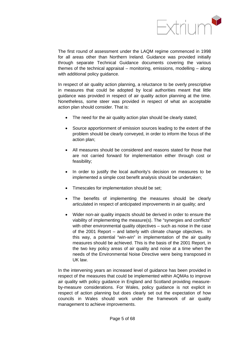

The first round of assessment under the LAQM regime commenced in 1998 for all areas other than Northern Ireland. Guidance was provided initially through separate Technical Guidance documents covering the various themes of the technical appraisal – monitoring, emissions, modelling – along with additional policy guidance.

In respect of air quality action planning, a reluctance to be overly prescriptive in measures that could be adopted by local authorities meant that little guidance was provided in respect of air quality action planning at the time. Nonetheless, some steer was provided in respect of what an acceptable action plan should consider. That is:

- The need for the air quality action plan should be clearly stated;
- Source apportionment of emission sources leading to the extent of the problem should be clearly conveyed, in order to inform the focus of the action plan;
- All measures should be considered and reasons stated for those that are not carried forward for implementation either through cost or feasibility;
- In order to justify the local authority's decision on measures to be implemented a simple cost benefit analysis should be undertaken;
- Timescales for implementation should be set;
- The benefits of implementing the measures should be clearly articulated in respect of anticipated improvements in air quality; and
- Wider non-air quality impacts should be derived in order to ensure the viability of implementing the measure(s). The "synergies and conflicts" with other environmental quality objectives – such as noise in the case of the 2001 Report – and latterly with climate change objectives. In this way, a potential "win-win" in implementation of the air quality measures should be achieved. This is the basis of the 2001 Report, in the two key policy areas of air quality and noise at a time when the needs of the Environmental Noise Directive were being transposed in UK law.

In the intervening years an increased level of guidance has been provided in respect of the measures that could be implemented within AQMAs to improve air quality with policy guidance in England and Scotland providing measureby-measure considerations. For Wales, policy guidance is not explicit in respect of action planning but does clearly set out the expectation of how councils in Wales should work under the framework of air quality management to achieve improvements.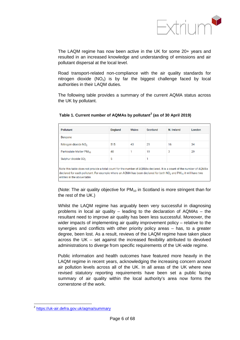

The LAQM regime has now been active in the UK for some 20+ years and resulted in an increased knowledge and understanding of emissions and air pollutant dispersal at the local level.

Road transport-related non-compliance with the air quality standards for nitrogen dioxide  $(NO<sub>2</sub>)$  is by far the biggest challenge faced by local authorities in their LAQM duties.

The following table provides a summary of the current AQMA status across the UK by pollutant.

| Pollutant                        | <b>England</b> | Wales | Scotland | N. Ireland | London |
|----------------------------------|----------------|-------|----------|------------|--------|
| <b>Benzene</b>                   |                |       |          |            |        |
| Nitrogen dioxide NO <sub>2</sub> | 515            | 43    | 29       | 16         | 34     |
| Particulate Matter PM10          | 40             |       | 19       | 3          | 29     |
| Sulphur dioxide SO <sub>2</sub>  | 5              |       |          |            |        |

#### **Table 1. Current number of AQMAs by pollutant[2](#page-12-1) (as of 30 April 2019)**

(Note: The air quality objective for  $PM_{10}$  in Scotland is more stringent than for the rest of the UK.)

Whilst the LAQM regime has arguably been very successful in diagnosing problems in local air quality – leading to the declaration of AQMAs – the resultant need to improve air quality has been less successful. Moreover, the wider impacts of implementing air quality improvement policy – relative to the synergies and conflicts with other priority policy areas – has, to a greater degree, been lost. As a result, reviews of the LAQM regime have taken place across the UK – set against the increased flexibility attributed to devolved administrations to diverge from specific requirements of the UK-wide regime.

Public information and health outcomes have featured more heavily in the LAQM regime in recent years, acknowledging the increasing concern around air pollution levels across all of the UK. In all areas of the UK where new revised statutory reporting requirements have been set a public facing summary of air quality within the local authority's area now forms the cornerstone of the work.

<span id="page-10-0"></span><sup>&</sup>lt;sup>2</sup> https://uk-air.defra.gov.uk/agma/summary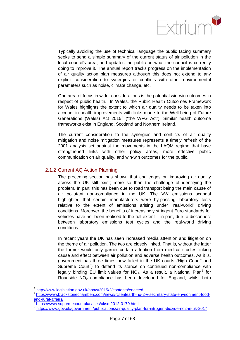

Typically avoiding the use of technical language the public facing summary seeks to send a simple summary of the current status of air pollution in the local council's area, and updates the public on what the council is currently doing to improve it. The annual report tracks progress on the implementation of air quality action plan measures although this does not extend to any explicit consideration to synergies or conflicts with other environmental parameters such as noise, climate change, etc.

One area of focus in wider considerations is the potential win-win outcomes in respect of public health. In Wales, the Public Health Outcomes Framework for Wales highlights the extent to which air quality needs to be taken into account in health improvements with links made to the Well-being of Future Generations (Wales) Act  $2015<sup>3</sup>$  $2015<sup>3</sup>$  $2015<sup>3</sup>$  ("the WFG Act"). Similar health outcome frameworks exist in England, Scotland and Northern Ireland.

The current consideration to the synergies and conflicts of air quality mitigation and noise mitigation measures represents a timely refresh of the 2001 analysis set against the movements in the LAQM regime that have strengthened links with other policy areas, more effective public communication on air quality, and win-win outcomes for the public.

#### <span id="page-11-0"></span>2.1.2 Current AQ Action Planning

The preceding section has shown that challenges on improving air quality across the UK still exist; more so than the challenge of identifying the problem. In part, this has been due to road transport being the main cause of air pollutant non-compliance in the UK. The VW emissions scandal highlighted that certain manufacturers were by-passing laboratory tests relative to the extent of emissions arising under "real-world" driving conditions. Moreover, the benefits of increasingly stringent Euro standards for vehicles have not been realised to the full extent – in part, due to disconnect between laboratory emissions test cycles and the real-world driving conditions.

In recent years the UK has seen increased media attention and litigation on the theme of air pollution. The two are closely linked. That is, without the latter the former would only garner certain attention from medical studies linking cause and effect between air pollution and adverse health outcomes. As it is, government has three times now failed in the UK courts (High Court<sup>[4](#page-13-1)</sup> and Supreme Court<sup>[5](#page-13-2)</sup>) to defend its stance on continued non-compliance with legally binding EU limit values for  $NO<sub>2</sub>$ . As a result, a National Plan<sup>[6](#page-13-3)</sup> for Roadside  $NO<sub>2</sub>$  compliance has been developed for England, whilst both

<http://www.legislation.gov.uk/anaw/2015/2/contents/enacted>

[https://www.blackstonechambers.com/news/rclientearth-no-2-v-secretary-state-environment-food](https://www.blackstonechambers.com/news/rclientearth-no-2-v-secretary-state-environment-food-and-rural-affairs/)[and-rural-affairs/](https://www.blackstonechambers.com/news/rclientearth-no-2-v-secretary-state-environment-food-and-rural-affairs/)<br><sup>5</sup> <https://www.supremecourt.uk/cases/uksc-2012-0179.html>

<sup>6</sup> <https://www.gov.uk/government/publications/air-quality-plan-for-nitrogen-dioxide-no2-in-uk-2017>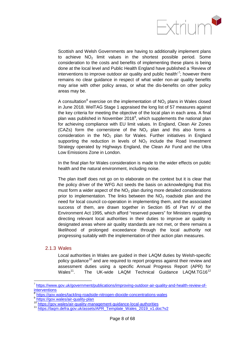

Scottish and Welsh Governments are having to additionally implement plans to achieve  $NO<sub>2</sub>$  limit values in the shortest possible period. Some consideration to the costs and benefits of implementing these plans is being done at the local level and Public Health England have published a 'Review of interventions to improve outdoor air quality and public health'<sup>[7](#page-14-2)</sup>; however there remains no clear guidance in respect of what wider non-air quality benefits may arise with other policy areas, or what the dis-benefits on other policy areas may be.

A consultation<sup>[8](#page-14-3)</sup> exercise on the implementation of  $NO<sub>2</sub>$  plans in Wales closed in June 2018. WelTAG Stage 1 appraised the long list of 57 measures against the key criteria for meeting the objective of the local plan in each area. A final plan was published in November 2018 $^9$  $^9$ , which supplements the national plan for achieving compliance with EU limit values. In England, Clean Air Zones (CAZs) form the cornerstone of the  $NO<sub>2</sub>$  plan and this also forms a consideration in the  $NO<sub>2</sub>$  plan for Wales. Further initiatives in England supporting the reduction in levels of  $NO<sub>2</sub>$  include the Road Investment Strategy operated by Highways England, the Clean Air Fund and the Ultra Low Emissions Zone in London.

In the final plan for Wales consideration is made to the wider effects on public health and the natural environment, including noise.

The plan itself does not go on to elaborate on the context but it is clear that the policy driver of the WFG Act seeds the basis on acknowledging that this must form a wider aspect of the  $NO<sub>2</sub>$  plan during more detailed considerations prior to implementation. The links between the  $NO<sub>2</sub>$  roadside plan and the need for local council co-operation in implementing them, and the associated success of them, are drawn together in Section 85 of Part IV of the Environment Act 1995, which afford "reserved powers" for Ministers regarding directing relevant local authorities in their duties to improve air quality in designated areas where air quality standards are not met, or there remains a likelihood of prolonged exceedance through the local authority not progressing suitably with the implementation of their action plan measures.

### <span id="page-12-0"></span>2.1.3 Wales

Local authorities in Wales are guided in their LAQM duties by Welsh-specific policy guidance<sup>[10](#page-14-5)</sup> and are required to report progress against their review and assessment duties using a specific Annual Progress Report (APR) for Wales<sup>11</sup>. The UK-wide LAQM Technical Guidance LAQM.TG16<sup>[12](#page-14-6)</sup>

 <sup>7</sup> [https://www.gov.uk/government/publications/improving-outdoor-air-quality-and-health-review-of](https://www.gov.uk/government/publications/improving-outdoor-air-quality-and-health-review-of-interventions)[interventions](https://www.gov.uk/government/publications/improving-outdoor-air-quality-and-health-review-of-interventions)

<https://gov.wales/tackling-roadside-nitrogen-dioxide-concentrations-wales><br>https://gov.wales/air-quality-plan

<sup>&</sup>lt;sup>10</sup> <https://gov.wales/air-quality-management-guidance-local-authorities><br><sup>11</sup> https://locm.defra.gov.uk/essets/ABB\_Template\_Weles\_2010\_v1\_de

<span id="page-12-1"></span>[https://laqm.defra.gov.uk/assets/APR\\_Template\\_Wales\\_2019\\_v1.doc?v2](https://laqm.defra.gov.uk/assets/APR_Template_Wales_2019_v1.doc?v2)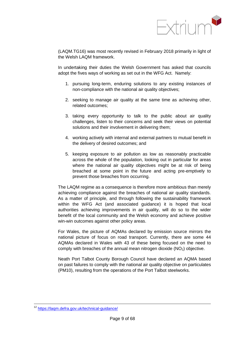

(LAQM.TG16) was most recently revised in February 2018 primarily in light of the Welsh LAQM framework.

In undertaking their duties the Welsh Government has asked that councils adopt the fives ways of working as set out in the WFG Act. Namely:

- 1. pursuing long-term, enduring solutions to any existing instances of non-compliance with the national air quality objectives;
- 2. seeking to manage air quality at the same time as achieving other, related outcomes;
- 3. taking every opportunity to talk to the public about air quality challenges, listen to their concerns and seek their views on potential solutions and their involvement in delivering them;
- 4. working actively with internal and external partners to mutual benefit in the delivery of desired outcomes; and
- 5. keeping exposure to air pollution as low as reasonably practicable across the whole of the population, looking out in particular for areas where the national air quality objectives might be at risk of being breached at some point in the future and acting pre-emptively to prevent those breaches from occurring.

The LAQM regime as a consequence is therefore more ambitious than merely achieving compliance against the breaches of national air quality standards. As a matter of principle, and through following the sustainability framework within the WFG Act (and associated guidance) it is hoped that local authorities achieving improvements in air quality, will do so to the wider benefit of the local community and the Welsh economy and achieve positive win-win outcomes against other policy areas.

For Wales, the picture of AQMAs declared by emission source mirrors the national picture of focus on road transport. Currently, there are some 44 AQMAs declared in Wales with 43 of these being focused on the need to comply with breaches of the annual mean nitrogen dioxide  $(NO<sub>2</sub>)$  objective.

Neath Port Talbot County Borough Council have declared an AQMA based on past failures to comply with the national air quality objective on particulates (PM10), resulting from the operations of the Port Talbot steelworks.

<span id="page-13-3"></span><span id="page-13-2"></span><span id="page-13-1"></span><span id="page-13-0"></span><sup>12</sup> <https://laqm.defra.gov.uk/technical-guidance/>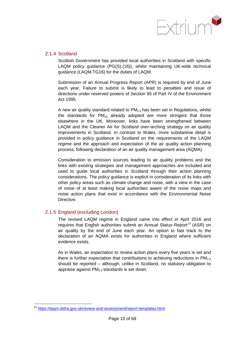

### <span id="page-14-0"></span>2.1.4 Scotland

Scottish Government has provided local authorities in Scotland with specific LAQM policy guidance (PG(S).(16)), whilst maintaining UK-wide technical guidance (LAQM.TG16) for the duties of LAQM.

Submission of an Annual Progress Report (APR) is required by end of June each year. Failure to submit is likely to lead to penalties and issue of directions under reserved powers of Section 85 of Part IV of the Environment Act 1995.

A new air quality standard related to  $PM<sub>2.5</sub>$  has been set in Regulations, whilst the standards for  $PM_{10}$  already adopted are more stringent that those elsewhere in the UK. Moreover, links have been strengthened between LAQM and the Cleaner Air for Scotland over-arching strategy on air quality improvements in Scotland. In contrast to Wales, more substantive detail is provided in policy guidance in Scotland on the requirements of the LAQM regime and the approach and expectation of the air quality action planning process, following declaration of an air quality management area (AQMA).

Consideration to emission sources leading to air quality problems and the links with existing strategies and management approaches are included and used to guide local authorities in Scotland through their action planning considerations. The policy guidance is explicit in consideration of its links with other policy areas such as climate change and noise, with a view in the case of noise of at least making local authorities aware of the noise maps and noise action plans that exist in accordance with the Environmental Noise Directive.

### <span id="page-14-1"></span>2.1.5 England (excluding London)

The revised LAQM regime in England came into effect in April 2016 and requires that English authorities submit an Annual Status Report<sup>[13](#page-16-3)</sup> (ASR) on air quality by the end of June each year. An option to fast track to the declaration of an AQMA exists for authorities in England where sufficient evidence exists.

As in Wales, an expectation to review action plans every five years is set and there is further expectation that contributions to achieving reductions in  $PM_{2.5}$ should be reported – although, unlike in Scotland, no statutory obligation to appraise against  $PM<sub>2.5</sub>$  standards is set down.

<span id="page-14-6"></span><span id="page-14-5"></span><span id="page-14-4"></span><span id="page-14-3"></span><span id="page-14-2"></span><sup>13</sup> <https://laqm.defra.gov.uk/review-and-assessment/report-templates.html>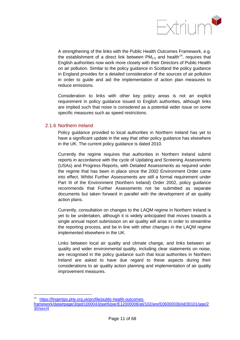

A strengthening of the links with the Public Health Outcomes Framework, e.g. the establishment of a direct link between  $PM<sub>2.5</sub>$  and health<sup>14</sup>, requires that English authorities now work more closely with their Directors of Public Health on air pollution. Similar to the policy guidance in Scotland the policy guidance in England provides for a detailed consideration of the sources of air pollution in order to guide and aid the implementation of action plan measures to reduce emissions.

Consideration to links with other key policy areas is not an explicit requirement in policy guidance issued to English authorities, although links are implied such that noise is considered as a potential wider issue on some specific measures such as speed restrictions.

### <span id="page-15-0"></span>2.1.6 Northern Ireland

Policy guidance provided to local authorities in Northern Ireland has yet to have a significant update in the way that other policy guidance has elsewhere in the UK. The current policy guidance is dated 2010.

Currently the regime requires that authorities in Northern Ireland submit reports in accordance with the cycle of Updating and Screening Assessments (USAs) and Progress Reports, with Detailed Assessments as required under the regime that has been in place since the 2002 Environment Order came into effect. Whilst Further Assessments are still a formal requirement under Part III of the Environment (Northern Ireland) Order 2002, policy guidance recommends that Further Assessments not be submitted as separate documents but taken forward in parallel with the development of air quality action plans.

Currently, consultation on changes to the LAQM regime in Northern Ireland is yet to be undertaken, although it is widely anticipated that moves towards a single annual report submission on air quality will arise in order to streamline the reporting process, and be in line with other changes in the LAQM regime implemented elsewhere in the UK.

Links between local air quality and climate change, and links between air quality and wider environmental quality, including clear statements on noise, are recognised in the policy guidance such that local authorities in Northern Ireland are asked to have due regard to these aspects during their considerations to air quality action planning and implementation of air quality improvement measures.

[https://fingertips.phe.org.uk/profile/public-health-outcomes](https://fingertips.phe.org.uk/profile/public-health-outcomes-framework/data#page/3/gid/1000043/pat/6/par/E12000008/ati/102/are/E06000036/iid/30101/age/230/sex/4)[framework/data#page/3/gid/1000043/pat/6/par/E12000008/ati/102/are/E06000036/iid/30101/age/2](https://fingertips.phe.org.uk/profile/public-health-outcomes-framework/data#page/3/gid/1000043/pat/6/par/E12000008/ati/102/are/E06000036/iid/30101/age/230/sex/4) [30/sex/4](https://fingertips.phe.org.uk/profile/public-health-outcomes-framework/data#page/3/gid/1000043/pat/6/par/E12000008/ati/102/are/E06000036/iid/30101/age/230/sex/4)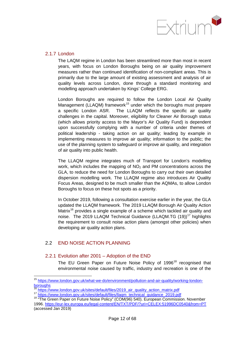

#### <span id="page-16-0"></span>2.1.7 London

The LAQM regime in London has been streamlined more than most in recent years, with focus on London Boroughs being on air quality improvement measures rather than continued identification of non-compliant areas. This is primarily due to the large amount of existing assessment and analysis of air quality levels across London, done through a standard monitoring and modelling approach undertaken by Kings' College ERG.

London Boroughs are required to follow the London Local Air Quality Management (LLAQM) framework<sup>[15](#page-18-0)</sup> under which the boroughs must prepare a specific London ASR. The LLAQM reflects the specific air quality challenges in the capital. Moreover, eligibility for Cleaner Air Borough status (which allows priority access to the Mayor's Air Quality Fund) is dependent upon successfully complying with a number of criteria under themes of political leadership - taking action on air quality; leading by example in implementing measures to improve air quality; information to the public; the use of the planning system to safeguard or improve air quality, and integration of air quality into public health.

The LLAQM regime integrates much of Transport for London's modelling work, which includes the mapping of  $NO<sub>2</sub>$  and PM concentrations across the GLA, to reduce the need for London Boroughs to carry out their own detailed dispersion modelling work. The LLAQM regime also introduces Air Quality Focus Areas, designed to be much smaller than the AQMAs, to allow London Boroughs to focus on these hot spots as a priority.

In October 2019, following a consultation exercise earlier in the year, the GLA updated the LLAQM framework. The 2019 LLAQM Borough Air Quality Action Matrix<sup>[16](#page-18-1)</sup> provides a single example of a scheme which tackled air quality and noise. The 2019 LLAQM Technical Guidance (LLAQM.TG (19))<sup>[17](#page-18-2)</sup> highlights the requirement to consult noise action plans (amongst other policies) when developing air quality action plans.

## <span id="page-16-1"></span>2.2 END NOISE ACTION PLANNING

### <span id="page-16-2"></span>2.2.1 Evolution after 2001 – Adoption of the END

The EU Green Paper on Future Noise Policy of 1996<sup>[18](#page-18-3)</sup> recognised that environmental noise caused by traffic, industry and recreation is one of the

<sup>15</sup> [https://www.london.gov.uk/what-we-do/environment/pollution-and-air-quality/working-london](https://www.london.gov.uk/what-we-do/environment/pollution-and-air-quality/working-london-boroughs)[boroughs](https://www.london.gov.uk/what-we-do/environment/pollution-and-air-quality/working-london-boroughs)<br><sup>16</sup> https://www.london.gov.uk/sites/default/files/2019\_air\_quality\_action\_matrix.pdf

<span id="page-16-3"></span><sup>17</sup> [https://www.london.gov.uk/sites/default/files/llaqm\\_technical\\_guidance\\_2019.pdf](https://www.london.gov.uk/sites/default/files/llaqm_technical_guidance_2019.pdf)<br><sup>18</sup> "The Green Paper on Future Noise Policy" (COM(96) 540). European Commission. November 1996.<https://eur-lex.europa.eu/legal-content/EN/TXT/PDF/?uri=CELEX:51996DC0540&from=PT> (accessed Jan 2019)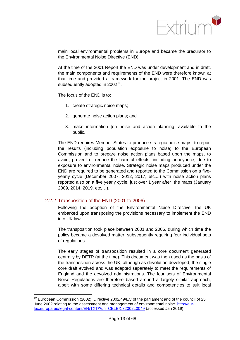

main local environmental problems in Europe and became the precursor to the Environmental Noise Directive (END).

At the time of the 2001 Report the END was under development and in draft, the main components and requirements of the END were therefore known at that time and provided a framework for the project in 2001. The END was subsequently adopted in  $2002^{19}$  $2002^{19}$  $2002^{19}$ .

The focus of the END is to:

- 1. create strategic noise maps;
- 2. generate noise action plans; and
- 3. make information [on noise and action planning] available to the public.

The END requires Member States to produce strategic noise maps, to report the results (including population exposure to noise) to the European Commission and to prepare noise action plans based upon the maps, to avoid, prevent or reduce the harmful effects, including annoyance, due to exposure to environmental noise. Strategic noise maps produced under the END are required to be generated and reported to the Commission on a fiveyearly cycle (December 2007, 2012, 2017, etc,...) with noise action plans reported also on a five yearly cycle, just over 1 year after the maps (January 2009, 2014, 2019, etc,…).

### <span id="page-17-0"></span>2.2.2 Transposition of the END (2001 to 2006)

Following the adoption of the Environmental Noise Directive, the UK embarked upon transposing the provisions necessary to implement the END into UK law.

The transposition took place between 2001 and 2006, during which time the policy became a devolved matter, subsequently requiring four individual sets of regulations.

The early stages of transposition resulted in a core document generated centrally by DETR (at the time). This document was then used as the basis of the transposition across the UK, although as devolution developed, the single core draft evolved and was adapted separately to meet the requirements of England and the devolved administrations. The four sets of Environmental Noise Regulations are therefore based around a largely similar approach, albeit with some differing technical details and competencies to suit local

<span id="page-17-1"></span><sup>&</sup>lt;sup>19</sup> European Commission (2002). Directive 2002/49/EC of the parliament and of the council of 25 June 2002 relating to the assessment and management of environmental noise. [http://eur](http://eur-lex.europa.eu/legal-content/EN/TXT/?uri=CELEX:32002L0049)[lex.europa.eu/legal-content/EN/TXT/?uri=CELEX:32002L0049](http://eur-lex.europa.eu/legal-content/EN/TXT/?uri=CELEX:32002L0049) (accessed Jan 2019).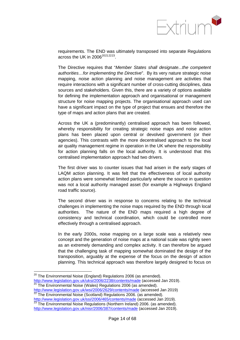

requirements. The END was ultimately transposed into separate Regulations across the UK in  $2006^{20212223}$  $2006^{20212223}$  $2006^{20212223}$  $2006^{20212223}$  $2006^{20212223}$  $2006^{20212223}$ .

The Directive requires that "*Member States shall designate...the competent authorities…for implementing the Directive*". By its very nature strategic noise mapping, noise action planning and noise management are activities that require interactions with a significant number of cross-cutting disciplines, data sources and stakeholders. Given this, there are a variety of options available for defining the implementation approach and organisational or management structure for noise mapping projects. The organisational approach used can have a significant impact on the type of project that ensues and therefore the type of maps and action plans that are created.

Across the UK a (predominantly) centralised approach has been followed, whereby responsibility for creating strategic noise maps and noise action plans has been placed upon central or devolved government (or their agencies). This contrasts with the more decentralised approach to the local air quality management regime in operation in the UK where the responsibility for action planning falls on the local authority. It is understood that this centralised implementation approach had two drivers.

The first driver was to counter issues that had arisen in the early stages of LAQM action planning. It was felt that the effectiveness of local authority action plans were somewhat limited particularly where the source in question was not a local authority managed asset (for example a Highways England road traffic source).

The second driver was in response to concerns relating to the technical challenges in implementing the noise maps required by the END through local authorities. The nature of the END maps required a high degree of consistency and technical coordination, which could be controlled more effectively through a centralised approach.

In the early 2000s, noise mapping on a large scale was a relatively new concept and the generation of noise maps at a national scale was rightly seen as an extremely demanding and complex activity. It can therefore be argued that the challenging task of mapping somewhat dominated the design of the transposition, arguably at the expense of the focus on the design of action planning. This technical approach was therefore largely designed to focus on

<span id="page-18-0"></span> $20$  The Environmental Noise (England) Regulations 2006 (as amended). <http://www.legislation.gov.uk/uksi/2006/2238/contents/made> (accessed Jan 2019).<br><sup>21</sup> The Environmental Noise (Wales) Regulations 2006 (as amended).

<span id="page-18-1"></span><http://www.legislation.gov.uk/wsi/2006/2629/contents/made> (accessed Jan 2019)<br>
<sup>22</sup> The Environmental Noise (Scotland) Regulations 2006. (as amended).<br>
http://www.legislation.gov.uk/ssi/2006/465/contents/made (accessed Jan

<span id="page-18-3"></span><span id="page-18-2"></span><http://www.legislation.gov.uk/ssi/2006/465/contents/made> (1999/2006).<br><sup>23</sup> The Environmental Noise Regulations (Northern Ireland) 2006. (as amended). <http://www.legislation.gov.uk/nisr/2006/387/contents/made> (accessed Jan 2019).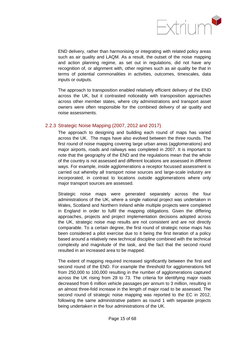

END delivery, rather than harmonising or integrating with related policy areas such as air quality and LAQM. As a result, the outset of the noise mapping and action planning regime, as set out in regulations, did not have any recognition of, or alignment with, other regimes such as air quality be that in terms of potential commonalities in activities, outcomes, timescales, data inputs or outputs.

The approach to transposition enabled relatively efficient delivery of the END across the UK, but it contrasted noticeably with transposition approaches across other member states, where city administrations and transport asset owners were often responsible for the combined delivery of air quality and noise assessments.

### <span id="page-19-0"></span>2.2.3 Strategic Noise Mapping (2007, 2012 and 2017)

The approach to designing and building each round of maps has varied across the UK. The maps have also evolved between the three rounds. The first round of noise mapping covering large urban areas (agglomerations) and major airports, roads and railways was completed in 2007. It is important to note that the geography of the END and the regulations mean that the whole of the country is not assessed and different locations are assessed in different ways. For example, inside agglomerations a receptor focussed assessment is carried out whereby all transport noise sources and large-scale industry are incorporated, in contrast to locations outside agglomerations where only major transport sources are assessed.

Strategic noise maps were generated separately across the four administrations of the UK, where a single national project was undertaken in Wales, Scotland and Northern Ireland while multiple projects were completed in England in order to fulfil the mapping obligations. Given the differing approaches, projects and project implementation decisions adopted across the UK, strategic noise map results are not consistent and are not directly comparable. To a certain degree, the first round of strategic noise maps has been considered a pilot exercise due to it being the first iteration of a policy based around a relatively new technical discipline combined with the technical complexity and magnitude of the task, and the fact that the second round resulted in an increased area to be mapped.

<span id="page-19-1"></span>The extent of mapping required increased significantly between the first and second round of the END. For example the threshold for agglomerations fell from 250,000 to 100,000 resulting in the number of agglomerations captured across the UK rising from 28 to 73. The criteria for identifying major roads decreased from 6 million vehicle passages per annum to 3 million, resulting in an almost three-fold increase in the length of major road to be assessed. The second round of strategic noise mapping was reported to the EC in 2012, following the same administrative pattern as round 1 with separate projects being undertaken in the four administrations of the UK.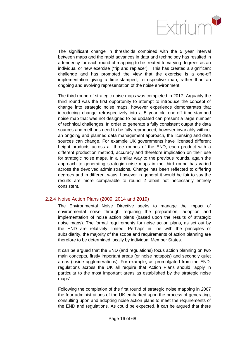

The significant change in thresholds combined with the 5 year interval between maps and the rapid advances in data and technology has resulted in a tendency for each round of mapping to be treated to varying degrees as an individual or new exercise ("rip and replace"). This has created a significant challenge and has promoted the view that the exercise is a one-off implementation giving a time-stamped, retrospective map, rather than an ongoing and evolving representation of the noise environment.

The third round of strategic noise maps was completed in 2017. Arguably the third round was the first opportunity to attempt to introduce the concept of change into strategic noise maps, however experience demonstrates that introducing change retrospectively into a 5 year old one-off time-stamped noise map that was not designed to be updated can present a large number of technical challenges. In order to generate a fully consistent output the data sources and methods need to be fully reproduced, however invariably without an ongoing and planned data management approach, the licensing and data sources can change. For example UK governments have licensed different height products across all three rounds of the END, each product with a different production method, accuracy and therefore implication on their use for strategic noise maps. In a similar way to the previous rounds, again the approach to generating strategic noise maps in the third round has varied across the devolved administrations. Change has been reflected to differing degrees and in different ways, however in general it would be fair to say the results are more comparable to round 2 albeit not necessarily entirely consistent.

### <span id="page-20-0"></span>2.2.4 Noise Action Plans (2009, 2014 and 2019)

The Environmental Noise Directive seeks to manage the impact of environmental noise through requiring the preparation, adoption and implementation of noise action plans (based upon the results of strategic noise maps). The formal requirements for noise action plans, as set out by the END are relatively limited. Perhaps in line with the principles of subsidiarity, the majority of the scope and requirements of action planning are therefore to be determined locally by individual Member States.

It can be argued that the END (and regulations) focus action planning on two main concepts, firstly important areas (or noise hotspots) and secondly quiet areas (inside agglomerations). For example, as promulgated from the END, regulations across the UK all require that Action Plans should "apply in particular to the most important areas as established by the strategic noise maps".

<span id="page-20-4"></span><span id="page-20-3"></span><span id="page-20-2"></span><span id="page-20-1"></span>Following the completion of the first round of strategic noise mapping in 2007 the four administrations of the UK embarked upon the process of generating, consulting upon and adopting noise action plans to meet the requirements of the END and regulations. As could be expected, it can be argued that there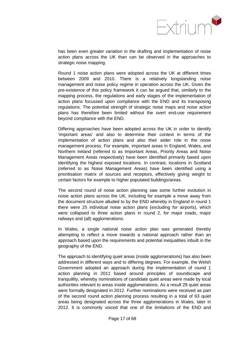

has been even greater variation in the drafting and implementation of noise action plans across the UK than can be observed in the approaches to strategic noise mapping.

Round 1 noise action plans were adopted across the UK at different times between 2009 and 2010. There is a relatively longstanding noise management and noise policy regime in operation across the UK. Given the pre-existence of this policy framework it can be argued that, similarly to the mapping process, the regulations and early stages of the implementation of action plans focussed upon compliance with the END and its transposing regulations. The potential strength of strategic noise maps and noise action plans has therefore been limited without the overt end-use requirement beyond compliance with the END.

Differing approaches have been adopted across the UK in order to identify 'important areas' and also to determine their context in terms of the implementation of action plans and also their wider role in the noise management process. For example, important areas in England, Wales, and Northern Ireland (referred to as Important Areas, Priority Areas and Noise Management Areas respectively) have been identified primarily based upon identifying the highest exposed locations. In contrast, locations in Scotland (referred to as Noise Management Areas) have been identified using a prioritisation matrix of sources and receptors, effectively giving weight to certain factors for example to higher populated buildings/areas.

The second round of noise action planning saw some further evolution in noise action plans across the UK, including for example a move away from the document structure alluded to by the END whereby in England in round 1 there were 25 individual noise action plans (excluding for airports), which were collapsed to three action plans in round 2, for major roads, major railways and (all) agglomerations.

In Wales, a single national noise action plan was generated thereby attempting to reflect a move towards a national approach rather than an approach based upon the requirements and potential inequalities inbuilt in the geography of the END.

The approach to identifying quiet areas (inside agglomerations) has also been addressed in different ways and to differing degrees. For example, the Welsh Government adopted an approach during the implementation of round 1 action planning in 2011 based around principles of soundscape and tranquillity, whereby nominations of candidate quiet areas were made by local authorities relevant to areas inside agglomerations. As a result 29 quiet areas were formally designated in 2012. Further nominations were received as part of the second round action planning process resulting in a total of 63 quiet areas being designated across the three agglomerations in Wales, later in 2012. It is commonly voiced that one of the limitations of the END and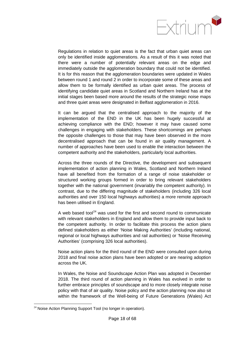

Regulations in relation to quiet areas is the fact that urban quiet areas can only be identified inside agglomerations. As a result of this it was noted that there were a number of potentially relevant areas on the edge and immediately outside the agglomeration boundary that could not be identified. It is for this reason that the agglomeration boundaries were updated in Wales between round 1 and round 2 in order to incorporate some of these areas and allow them to be formally identified as urban quiet areas. The process of identifying candidate quiet areas in Scotland and Northern Ireland has at the initial stages been based more around the results of the strategic noise maps and three quiet areas were designated in Belfast agglomeration in 2016.

It can be argued that the centralised approach to the majority of the implementation of the END in the UK has been hugely successful at achieving compliance with the END; however it may have caused some challenges in engaging with stakeholders. These shortcomings are perhaps the opposite challenges to those that may have been observed in the more decentralised approach that can be found in air quality management. A number of approaches have been used to enable the interaction between the competent authority and the stakeholders, particularly local authorities.

Across the three rounds of the Directive, the development and subsequent implementation of action planning in Wales, Scotland and Northern Ireland have all benefited from the formation of a range of noise stakeholder or structured working groups formed in order to bring relevant stakeholders together with the national government (invariably the competent authority). In contrast, due to the differing magnitude of stakeholders (including 326 local authorities and over 150 local highways authorities) a more remote approach has been utilised in England.

A web based tool<sup>[24](#page-24-0)</sup> was used for the first and second round to communicate with relevant stakeholders in England and allow them to provide input back to the competent authority. In order to facilitate this process the action plans defined stakeholders as either 'Noise Making Authorities' (including national, regional or local highways authorities and rail authorities) or 'Noise Receiving Authorities' (comprising 326 local authorities).

Noise action plans for the third round of the END were consulted upon during 2018 and final noise action plans have been adopted or are nearing adoption across the UK.

In Wales, the Noise and Soundscape Action Plan was adopted in December 2018. The third round of action planning in Wales has evolved in order to further embrace principles of soundscape and to more closely integrate noise policy with that of air quality. Noise policy and the action planning now also sit within the framework of the Well-being of Future Generations (Wales) Act

 $24$  Noise Action Planning Support Tool (no longer in operation).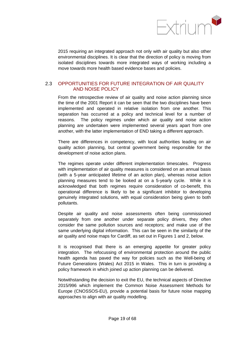

2015 requiring an integrated approach not only with air quality but also other environmental disciplines. It is clear that the direction of policy is moving from isolated disciplines towards more integrated ways of working including a move towards more health based evidence bases and policies.

### <span id="page-23-0"></span>2.3 OPPORTUNITIES FOR FUTURE INTEGRATION OF AIR QUALITY AND NOISE POLICY

From the retrospective review of air quality and noise action planning since the time of the 2001 Report it can be seen that the two disciplines have been implemented and operated in relative isolation from one another. This separation has occurred at a policy and technical level for a number of reasons. The policy regimes under which air quality and noise action planning are undertaken were implemented several years apart from one another, with the latter implementation of END taking a different approach.

There are differences in competency, with local authorities leading on air quality action planning, but central government being responsible for the development of noise action plans.

The regimes operate under different implementation timescales. Progress with implementation of air quality measures is considered on an annual basis (with a 5-year anticipated lifetime of an action plan), whereas noise action planning measures tend to be looked at on a 5-yearly cycle. While it is acknowledged that both regimes require consideration of co-benefit, this operational difference is likely to be a significant inhibitor to developing genuinely integrated solutions, with equal consideration being given to both pollutants.

Despite air quality and noise assessments often being commissioned separately from one another under separate policy drivers, they often consider the same pollution sources and receptors; and make use of the same underlying digital information. This can be seen in the similarity of the air quality and noise maps for Cardiff, as set out in Figures 1 and 2, below.

It is recognised that there is an emerging appetite for greater policy integration. The refocussing of environmental protection around the public health agenda has paved the way for policies such as the Well-being of Future Generations (Wales) Act 2015 in Wales. This in turn is providing a policy framework in which joined up action planning can be delivered.

Notwithstanding the decision to exit the EU, the technical aspects of Directive 2015/996 which implement the Common Noise Assessment Methods for Europe (CNOSSOS-EU), provide a potential basis for future noise mapping approaches to align with air quality modelling.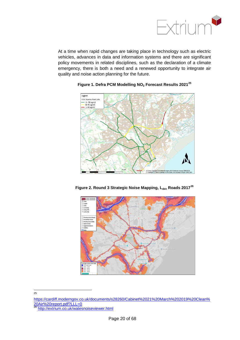

At a time when rapid changes are taking place in technology such as electric vehicles, advances in data and information systems and there are significant policy movements in related disciplines, such as the declaration of a climate emergency, there is both a need and a renewed opportunity to integrate air quality and noise action planning for the future.



**Figure 1. Defra PCM Modelling NO2 Forecast Results 2021[25](#page-26-0)**





<span id="page-24-0"></span>[https://cardiff.moderngov.co.uk/documents/s28260/Cabinet%2021%20March%202019%20Clean%](https://eur01.safelinks.protection.outlook.com/?url=https%3A%2F%2Fcardiff.moderngov.co.uk%2Fdocuments%2Fs28260%2FCabinet%252021%2520March%25202019%2520Clean%2520Air%2520report.pdf%3FLLL%3D0&data=02%7C01%7CMartin.McVay%40gov.wales%7Ce37b05aa700e4c2ef7da08d784a04490%7Ca2cc36c592804ae78887d06dab89216b%7C0%7C0%7C637123696186638892&sdata=uKwxW8EfAz23pmkv9lddX33%2FLIOCuSF5LTbZG1aNemE%3D&reserved=0) [20Air%20report.pdf?LLL=0](https://eur01.safelinks.protection.outlook.com/?url=https%3A%2F%2Fcardiff.moderngov.co.uk%2Fdocuments%2Fs28260%2FCabinet%252021%2520March%25202019%2520Clean%2520Air%2520report.pdf%3FLLL%3D0&data=02%7C01%7CMartin.McVay%40gov.wales%7Ce37b05aa700e4c2ef7da08d784a04490%7Ca2cc36c592804ae78887d06dab89216b%7C0%7C0%7C637123696186638892&sdata=uKwxW8EfAz23pmkv9lddX33%2FLIOCuSF5LTbZG1aNemE%3D&reserved=0)

25

<sup>26</sup> <http://extrium.co.uk/walesnoiseviewer.html>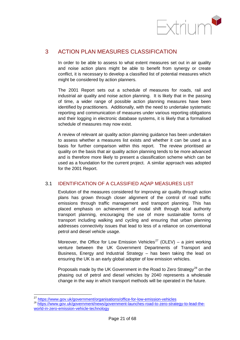

## <span id="page-25-0"></span>3 ACTION PLAN MEASURES CLASSIFICATION

In order to be able to assess to what extent measures set out in air quality and noise action plans might be able to benefit from synergy or create conflict, it is necessary to develop a classified list of potential measures which might be considered by action planners.

The 2001 Report sets out a schedule of measures for roads, rail and industrial air quality and noise action planning. It is likely that in the passing of time, a wider range of possible action planning measures have been identified by practitioners. Additionally, with the need to undertake systematic reporting and communication of measures under various reporting obligations and their logging in electronic database systems, it is likely that a formalised schedule of measures may now exist.

A review of relevant air quality action planning guidance has been undertaken to assess whether a measures list exists and whether it can be used as a basis for further comparison within this report. The review prioritised air quality on the basis that air quality action planning tends to be more advanced and is therefore more likely to present a classification scheme which can be used as a foundation for the current project. A similar approach was adopted for the 2001 Report.

## <span id="page-25-1"></span>3.1 IDENTIFICATION OF A CLASSIFIED AQAP MEASURES LIST

Evolution of the measures considered for improving air quality through action plans has grown through closer alignment of the control of road traffic emissions through traffic management and transport planning. This has placed emphasis on achievement of modal shift through local authority transport planning, encouraging the use of more sustainable forms of transport including walking and cycling and ensuring that urban planning addresses connectivity issues that lead to less of a reliance on conventional petrol and diesel vehicle usage.

Moreover, the Office for Low Emission Vehicles<sup>[27](#page-27-1)</sup> (OLEV) – a joint working venture between the UK Government Departments of Transport and Business, Energy and Industrial Strategy – has been taking the lead on ensuring the UK is an early global adopter of low emission vehicles.

Proposals made by the UK Government in the Road to Zero Strategy<sup>[28](#page-27-2)</sup> on the phasing out of petrol and diesel vehicles by 2040 represents a wholesale change in the way in which transport methods will be operated in the future.

<sup>&</sup>lt;sup>27</sup> <https://www.gov.uk/government/organisations/office-for-low-emission-vehicles><br><sup>28</sup> [https://www.gov.uk/government/news/government-launches-road-to-zero-strategy-to-lead-the](https://www.gov.uk/government/news/government-launches-road-to-zero-strategy-to-lead-the-world-in-zero-emission-vehicle-technology)[world-in-zero-emission-vehicle-technology](https://www.gov.uk/government/news/government-launches-road-to-zero-strategy-to-lead-the-world-in-zero-emission-vehicle-technology)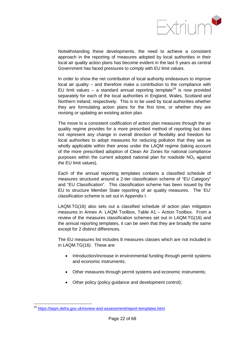

Notwithstanding these developments, the need to achieve a consistent approach in the reporting of measures adopted by local authorities in their local air quality action plans has become evident in the last 5 years as central Government has faced pressures to comply with EU limit values.

In order to show the net contribution of local authority endeavours to improve local air quality – and therefore make a contribution to the compliance with EU limit values – a standard annual reporting template<sup>[29](#page-28-1)</sup> is now provided separately for each of the local authorities in England, Wales, Scotland and Northern Ireland, respectively. This is to be used by local authorities whether they are formulating action plans for the first time, or whether they are revising or updating an existing action plan.

The move to a consistent codification of action plan measures through the air quality regime provides for a more prescribed method of reporting but does not represent any change in overall direction of flexibility and freedom for local authorities to adopt measures for reducing pollution that they see as wholly applicable within their areas under the LAQM regime (taking account of the more prescribed adoption of Clean Air Zones for national compliance purposes within the current adopted national plan for roadside  $NO<sub>2</sub>$  against the EU limit values).

Each of the annual reporting templates contains a classified schedule of measures structured around a 2-tier classification scheme of "EU Category" and "EU Classification". This classification scheme has been issued by the EU to structure Member State reporting of air quality measures. The 'EU' classification scheme is set out in Appendix I.

LAQM.TG(16) also sets out a classified schedule of action plan mitigation measures in Annex A: LAQM Toolbox, Table A1 – Action Toolbox. From a review of the measures classification schemes set out in LAQM.TG(16) and the annual reporting templates, it can be seen that they are broadly the same except for 2 distinct differences.

The EU measures list includes 8 measures classes which are not included in in LAQM.TG(16). These are:

- Introduction/increase in environmental funding through permit systems and economic instruments;
- Other measures through permit systems and economic instruments;
- Other policy (policy guidance and development control);

<span id="page-26-1"></span><span id="page-26-0"></span><sup>29</sup> <https://laqm.defra.gov.uk/review-and-assessment/report-templates.html>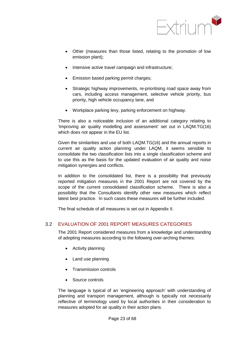

- Other (measures than those listed, relating to the promotion of low emission plant);
- Intensive active travel campaign and infrastructure;
- Emission based parking permit charges;
- Strategic highway improvements, re-prioritising road space away from cars, including access management, selective vehicle priority, bus priority, high vehicle occupancy lane, and
- Workplace parking levy, parking enforcement on highway.

There is also a noticeable inclusion of an additional category relating to 'Improving air quality modelling and assessment' set out in LAQM.TG(16) which does not appear in the EU list.

Given the similarities and use of both LAQM.TG(16) and the annual reports in current air quality action planning under LAQM, it seems sensible to consolidate the two classification lists into a single classification scheme and to use this as the basis for the updated evaluation of air quality and noise mitigation synergies and conflicts.

In addition to the consolidated list, there is a possibility that previously reported mitigation measures in the 2001 Report are not covered by the scope of the current consolidated classification scheme. There is also a possibility that the Consultants identify other new measures which reflect latest best practice. In such cases these measures will be further included.

The final schedule of all measures is set out in Appendix II.

### <span id="page-27-0"></span>3.2 EVALUATION OF 2001 REPORT MEASURES CATEGORIES

The 2001 Report considered measures from a knowledge and understanding of adopting measures according to the following over-arching themes:

- Activity planning
- Land use planning
- Transmission controls
- Source controls

<span id="page-27-2"></span><span id="page-27-1"></span>The language is typical of an 'engineering approach' with understanding of planning and transport management, although is typically not necessarily reflective of terminology used by local authorities in their consideration to measures adopted for air quality in their action plans.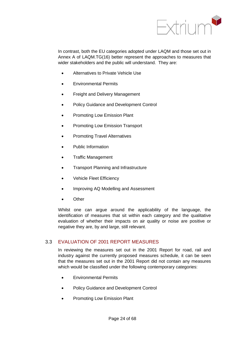

In contrast, both the EU categories adopted under LAQM and those set out in Annex A of LAQM.TG(16) better represent the approaches to measures that wider stakeholders and the public will understand. They are:

- Alternatives to Private Vehicle Use
- Environmental Permits
- Freight and Delivery Management
- Policy Guidance and Development Control
- Promoting Low Emission Plant
- Promoting Low Emission Transport
- Promoting Travel Alternatives
- Public Information
- Traffic Management
- Transport Planning and Infrastructure
- Vehicle Fleet Efficiency
- Improving AQ Modelling and Assessment
- **Other**

Whilst one can argue around the applicability of the language, the identification of measures that sit within each category and the qualitative evaluation of whether their impacts on air quality or noise are positive or negative they are, by and large, still relevant.

### <span id="page-28-0"></span>3.3 EVALUATION OF 2001 REPORT MEASURES

In reviewing the measures set out in the 2001 Report for road, rail and industry against the currently proposed measures schedule, it can be seen that the measures set out in the 2001 Report did not contain any measures which would be classified under the following contemporary categories:

- Environmental Permits
- Policy Guidance and Development Control
- <span id="page-28-1"></span>• Promoting Low Emission Plant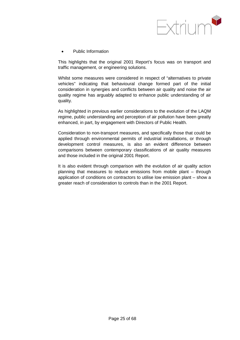

• Public Information

This highlights that the original 2001 Report's focus was on transport and traffic management, or engineering solutions.

Whilst some measures were considered in respect of "alternatives to private vehicles" indicating that behavioural change formed part of the initial consideration in synergies and conflicts between air quality and noise the air quality regime has arguably adapted to enhance public understanding of air quality.

As highlighted in previous earlier considerations to the evolution of the LAQM regime, public understanding and perception of air pollution have been greatly enhanced, in part, by engagement with Directors of Public Health.

Consideration to non-transport measures, and specifically those that could be applied through environmental permits of industrial installations, or through development control measures, is also an evident difference between comparisons between contemporary classifications of air quality measures and those included in the original 2001 Report.

It is also evident through comparison with the evolution of air quality action planning that measures to reduce emissions from mobile plant – through application of conditions on contractors to utilise low emission plant – show a greater reach of consideration to controls than in the 2001 Report.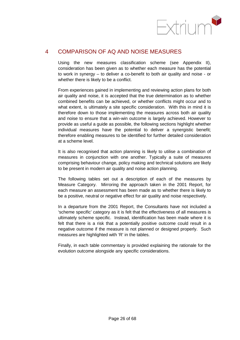

## <span id="page-30-0"></span>4 COMPARISON OF AQ AND NOISE MEASURES

Using the new measures classification scheme (see Appendix II), consideration has been given as to whether each measure has the potential to work in synergy – to deliver a co-benefit to both air quality and noise - or whether there is likely to be a conflict.

From experiences gained in implementing and reviewing action plans for both air quality and noise, it is accepted that the true determination as to whether combined benefits can be achieved, or whether conflicts might occur and to what extent, is ultimately a site specific consideration. With this in mind it is therefore down to those implementing the measures across both air quality and noise to ensure that a win-win outcome is largely achieved. However to provide as useful a guide as possible, the following sections highlight whether individual measures have the potential to deliver a synergistic benefit; therefore enabling measures to be identified for further detailed consideration at a scheme level.

It is also recognised that action planning is likely to utilise a combination of measures in conjunction with one another. Typically a suite of measures comprising behaviour change, policy making and technical solutions are likely to be present in modern air quality and noise action planning.

The following tables set out a description of each of the measures by Measure Category. Mirroring the approach taken in the 2001 Report, for each measure an assessment has been made as to whether there is likely to be a positive, neutral or negative effect for air quality and noise respectively.

In a departure from the 2001 Report, the Consultants have not included a 'scheme specific' category as it is felt that the effectiveness of all measures is ultimately scheme specific. Instead, identification has been made where it is felt that there is a risk that a potentially positive outcome could result in a negative outcome if the measure is not planned or designed properly. Such measures are highlighted with 'R' in the tables.

Finally, in each table commentary is provided explaining the rationale for the evolution outcome alongside any specific considerations.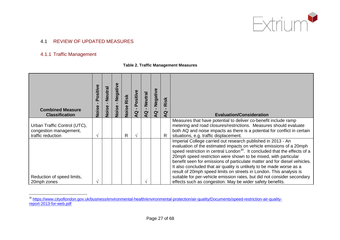

## 4.1 REVIEW OF UPDATED MEASURES

### 4.1.1 Traffic Management

#### **Table 2. Traffic Management Measures**

<span id="page-31-0"></span>

| <b>Combined Measure</b><br><b>Classification</b>                            | Positive<br>Noise | <b>Neutral</b><br>Noise | Negative<br>Noise | Risk<br>Noise | Positive<br>$\mathbf{Q}$ | Neutral<br>ă | Negative<br>$\overline{a}$ | Risk<br>g | <b>Evaluation/Consideration</b>                                                                                                                                                                                                                                                                                                                                                                                                                                                                                              |
|-----------------------------------------------------------------------------|-------------------|-------------------------|-------------------|---------------|--------------------------|--------------|----------------------------|-----------|------------------------------------------------------------------------------------------------------------------------------------------------------------------------------------------------------------------------------------------------------------------------------------------------------------------------------------------------------------------------------------------------------------------------------------------------------------------------------------------------------------------------------|
| Urban Traffic Control (UTC),<br>congestion management,<br>traffic reduction |                   |                         |                   | $\mathsf{R}$  |                          |              |                            | R.        | Measures that have potential to deliver co-benefit include ramp<br>metering and road closures/restrictions. Measures should evaluate<br>both AQ and noise impacts as there is a potential for conflict in certain<br>situations, e.g. traffic displacement.                                                                                                                                                                                                                                                                  |
|                                                                             |                   |                         |                   |               |                          |              |                            |           | Imperial College carried out research published in 2013 - An<br>evaluation of the estimated impacts on vehicle emissions of a 20mph<br>speed restriction in central London <sup>30</sup> . It concluded that the effects of a<br>20mph speed restriction were shown to be mixed, with particular<br>benefit seen for emissions of particulate matter and for diesel vehicles.<br>It also concluded that air quality is unlikely to be made worse as a<br>result of 20mph speed limits on streets in London. This analysis is |
| Reduction of speed limits,<br>20mph zones                                   |                   |                         |                   |               |                          |              |                            |           | suitable for per-vehicle emission rates, but did not consider secondary<br>effects such as congestion. May be wider safety benefits.                                                                                                                                                                                                                                                                                                                                                                                         |

<span id="page-31-1"></span> <sup>30</sup> [https://www.cityoflondon.gov.uk/business/environmental-health/environmental-protection/air-quality/Documents/speed-restriction-air-quality](https://www.cityoflondon.gov.uk/business/environmental-health/environmental-protection/air-quality/Documents/speed-restriction-air-quality-report-2013-for-web.pdf)[report-2013-for-web.pdf](https://www.cityoflondon.gov.uk/business/environmental-health/environmental-protection/air-quality/Documents/speed-restriction-air-quality-report-2013-for-web.pdf)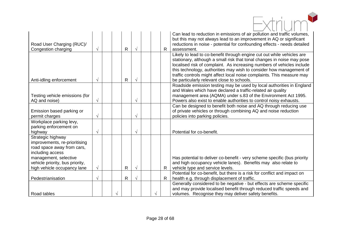| Road User Charging (RUC)/<br>Congestion charging                                                                                                                                                | $\sqrt{ }$ |  | $\mathsf{R}$ | $\sqrt{ }$ |  | $\mathsf{R}$ | Can lead to reduction in emissions of air pollution and traffic volumes,<br>but this may not always lead to an improvement in AQ or significant<br>reductions in noise - potential for confounding effects - needs detailed<br>assessment.                                                                                                                                                                                |
|-------------------------------------------------------------------------------------------------------------------------------------------------------------------------------------------------|------------|--|--------------|------------|--|--------------|---------------------------------------------------------------------------------------------------------------------------------------------------------------------------------------------------------------------------------------------------------------------------------------------------------------------------------------------------------------------------------------------------------------------------|
| Anti-idling enforcement                                                                                                                                                                         | $\sqrt{ }$ |  | $\mathsf{R}$ | $\sqrt{ }$ |  |              | Likely to lead to co-benefit through engine cut out while vehicles are<br>stationary, although a small risk that tonal changes in noise may pose<br>localised risk of complaint. As increasing numbers of vehicles include<br>this technology, authorities may wish to consider how management of<br>traffic controls might affect local noise complaints. This measure may<br>be particularly relevant close to schools. |
| Testing vehicle emissions (for<br>AQ and noise)                                                                                                                                                 | $\sqrt{ }$ |  |              | $\sqrt{}$  |  |              | Roadside emission testing may be used by local authorities in England<br>and Wales which have declared a traffic-related air quality<br>management area (AQMA) under s.83 of the Environment Act 1995.<br>Powers also exist to enable authorities to control noisy exhausts.                                                                                                                                              |
| Emission based parking or<br>permit charges                                                                                                                                                     | $\sqrt{ }$ |  |              | $\sqrt{}$  |  |              | Can be designed to benefit both noise and AQ through reducing use<br>of private vehicles or through combining AQ and noise reduction<br>policies into parking policies.                                                                                                                                                                                                                                                   |
| Workplace parking levy,<br>parking enforcement on<br>highway                                                                                                                                    | $\sqrt{ }$ |  |              | $\sqrt{ }$ |  |              | Potential for co-benefit.                                                                                                                                                                                                                                                                                                                                                                                                 |
| Strategic highway<br>improvements, re-prioritising<br>road space away from cars,<br>including access<br>management, selective<br>vehicle priority, bus priority,<br>high vehicle occupancy lane | $\sqrt{}$  |  | $\mathsf{R}$ | $\sqrt{}$  |  | $\mathsf{R}$ | Has potential to deliver co-benefit - very scheme specific (bus priority<br>and high occupancy vehicle lanes). Benefits may also relate to<br>vehicle type and service levels.                                                                                                                                                                                                                                            |
| Pedestrianisation                                                                                                                                                                               | $\sqrt{ }$ |  | R            | $\sqrt{ }$ |  | $\mathsf{R}$ | Potential for co-benefit, but there is a risk for conflict and impact on<br>health e.g. through displacement of traffic.                                                                                                                                                                                                                                                                                                  |
| Road tables                                                                                                                                                                                     |            |  |              |            |  |              | Generally considered to be negative - but effects are scheme specific<br>and may provide localised benefit through reduced traffic speeds and<br>volumes. Recognise they may deliver safety benefits.                                                                                                                                                                                                                     |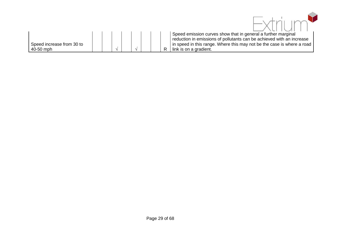<span id="page-33-0"></span>

| Speed increase from 30 to<br>40-50 mph |  |  |  |  | Speed emission curves show that in general a further marginal<br>reduction in emissions of pollutants can be achieved with an increase<br>in speed in this range. Where this may not be the case is where a road<br>link is on a gradient. |
|----------------------------------------|--|--|--|--|--------------------------------------------------------------------------------------------------------------------------------------------------------------------------------------------------------------------------------------------|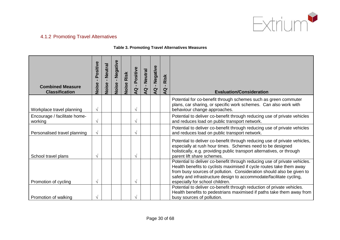

# 4.1.2 Promoting Travel Alternatives

#### **Table 3. Promoting Travel Alternatives Measures**

<span id="page-34-0"></span>

| <b>Combined Measure</b><br><b>Classification</b> | Positive<br>$\blacksquare$<br>Noise | Neutral<br>$\mathbf{L}$<br>Noise | Negative<br>$\mathbf{r}$<br>Noise | Risk<br>Noise | Positive<br>$\mathbf{L}$<br>Q | <b>Neutral</b><br>$\blacksquare$<br>Q | Negative<br>$\mathbf{L}$<br>Q | Risk<br>п.<br>Q | <b>Evaluation/Consideration</b>                                                                                                                                                                                                                                                                                                      |
|--------------------------------------------------|-------------------------------------|----------------------------------|-----------------------------------|---------------|-------------------------------|---------------------------------------|-------------------------------|-----------------|--------------------------------------------------------------------------------------------------------------------------------------------------------------------------------------------------------------------------------------------------------------------------------------------------------------------------------------|
| Workplace travel planning                        | $\sqrt{}$                           |                                  |                                   |               | V                             |                                       |                               |                 | Potential for co-benefit through schemes such as green commuter<br>plans, car sharing, or specific work schemes. Can also work with<br>behaviour change approaches.                                                                                                                                                                  |
| Encourage / facilitate home-<br>working          | V                                   |                                  |                                   |               | $\sqrt{}$                     |                                       |                               |                 | Potential to deliver co-benefit through reducing use of private vehicles<br>and reduces load on public transport network.                                                                                                                                                                                                            |
| Personalised travel planning                     | $\sqrt{ }$                          |                                  |                                   |               | $\sqrt{ }$                    |                                       |                               |                 | Potential to deliver co-benefit through reducing use of private vehicles<br>and reduces load on public transport network.                                                                                                                                                                                                            |
| School travel plans                              | N                                   |                                  |                                   |               | V                             |                                       |                               |                 | Potential to deliver co-benefit through reducing use of private vehicles,<br>especially at rush hour times. Schemes need to be designed<br>holistically, e.g. providing public transport alternatives, or through<br>parent lift share schemes.                                                                                      |
| Promotion of cycling                             |                                     |                                  |                                   |               | V                             |                                       |                               |                 | Potential to deliver co-benefit through reducing use of private vehicles.<br>Health benefits to cyclists maximised if cycle routes take them away<br>from busy sources of pollution. Consideration should also be given to<br>safety and infrastructure design to accommodate/facilitate cycling,<br>especially for school children. |
| Promotion of walking                             |                                     |                                  |                                   |               |                               |                                       |                               |                 | Potential to deliver co-benefit through reduction of private vehicles.<br>Health benefits to pedestrians maximised if paths take them away from<br>busy sources of pollution.                                                                                                                                                        |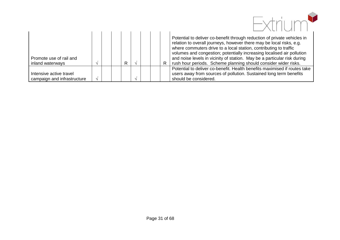

| Promote use of rail and<br>inland waterways            |  | R |  | $\mathsf{R}$ | Potential to deliver co-benefit through reduction of private vehicles in<br>relation to overall journeys, however there may be local risks, e.g.<br>where commuters drive to a local station, contributing to traffic<br>volumes and congestion; potentially increasing localised air pollution<br>and noise levels in vicinity of station. May be a particular risk during<br>rush hour periods. Scheme planning should consider wider risks. |
|--------------------------------------------------------|--|---|--|--------------|------------------------------------------------------------------------------------------------------------------------------------------------------------------------------------------------------------------------------------------------------------------------------------------------------------------------------------------------------------------------------------------------------------------------------------------------|
| Intensive active travel<br>campaign and infrastructure |  |   |  |              | Potential to deliver co-benefit. Health benefits maximised if routes take<br>users away from sources of pollution. Sustained long term benefits<br>should be considered.                                                                                                                                                                                                                                                                       |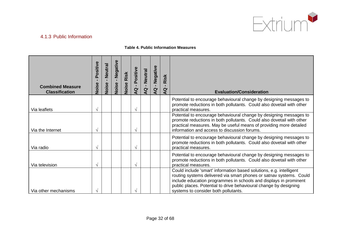

# 4.1.3 Public Information

## **Table 4. Public Information Measures**

| <b>Combined Measure</b><br><b>Classification</b> | Positive<br>$\blacksquare$<br>Noise | Neutral<br>п.<br>Noise | Negative<br>$\mathbf{L}$<br>Noise | Risk<br>Noise | Positive<br>$\mathbf{r}$<br>Q | <b>Neutral</b><br>Q | Negative<br>$\mathbf{L}$<br>$\overline{a}$ | Risk<br>$\overline{a}$ | <b>Evaluation/Consideration</b>                                                                                                                                                                                                                                                                                              |
|--------------------------------------------------|-------------------------------------|------------------------|-----------------------------------|---------------|-------------------------------|---------------------|--------------------------------------------|------------------------|------------------------------------------------------------------------------------------------------------------------------------------------------------------------------------------------------------------------------------------------------------------------------------------------------------------------------|
| Via leaflets                                     |                                     |                        |                                   |               | V                             |                     |                                            |                        | Potential to encourage behavioural change by designing messages to<br>promote reductions in both pollutants. Could also dovetail with other<br>practical measures.                                                                                                                                                           |
| Via the Internet                                 | $\sqrt{ }$                          |                        |                                   |               | V                             |                     |                                            |                        | Potential to encourage behavioural change by designing messages to<br>promote reductions in both pollutants. Could also dovetail with other<br>practical measures. May be useful means of providing more detailed<br>information and access to discussion forums.                                                            |
| Via radio                                        | $\sqrt{ }$                          |                        |                                   |               | $\sqrt{ }$                    |                     |                                            |                        | Potential to encourage behavioural change by designing messages to<br>promote reductions in both pollutants. Could also dovetail with other<br>practical measures.                                                                                                                                                           |
| Via television                                   |                                     |                        |                                   |               | V                             |                     |                                            |                        | Potential to encourage behavioural change by designing messages to<br>promote reductions in both pollutants. Could also dovetail with other<br>practical measures.                                                                                                                                                           |
| Via other mechanisms                             |                                     |                        |                                   |               |                               |                     |                                            |                        | Could include 'smart' information based solutions, e.g. intelligent<br>routing systems delivered via smart phones or satnav systems. Could<br>include education programmes in schools and displays in prominent<br>public places. Potential to drive behavioural change by designing<br>systems to consider both pollutants. |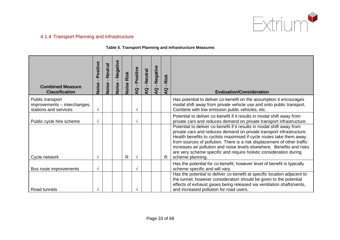

# 4.1.4 Transport Planning and Infrastructure

#### **Table 5. Transport Planning and Infrastructure Measures**

| <b>Combined Measure</b><br><b>Classification</b>                          | Positive<br>Noise | Neutral<br>Noise | Negative<br>$\mathbf{I}$<br>Noise | Risk<br>Noise | Positive<br>$\mathbf{r}$<br>Q | <b>Neutral</b><br>$\mathbf{I}$<br>$\overline{a}$ | Negative<br>$\blacksquare$<br>$\overline{a}$ | Risk<br>$\blacksquare$<br>$\overline{a}$ | <b>Evaluation/Consideration</b>                                                                                                                                                                                                                                                                                                                                                                                                                                        |
|---------------------------------------------------------------------------|-------------------|------------------|-----------------------------------|---------------|-------------------------------|--------------------------------------------------|----------------------------------------------|------------------------------------------|------------------------------------------------------------------------------------------------------------------------------------------------------------------------------------------------------------------------------------------------------------------------------------------------------------------------------------------------------------------------------------------------------------------------------------------------------------------------|
| Public transport<br>improvements - interchanges,<br>stations and services | $\sqrt{}$         |                  |                                   |               | V                             |                                                  |                                              |                                          | Has potential to deliver co-benefit on the assumption it encourages<br>modal shift away from private vehicle use and onto public transport.<br>Combine with low emission public vehicles, etc.                                                                                                                                                                                                                                                                         |
| Public cycle hire scheme                                                  | $\sqrt{ }$        |                  |                                   |               | $\sqrt{}$                     |                                                  |                                              |                                          | Potential to deliver co-benefit if it results in modal shift away from<br>private cars and reduces demand on private transport infrastructure.                                                                                                                                                                                                                                                                                                                         |
| Cycle network                                                             | V                 |                  |                                   | R             | V                             |                                                  |                                              | $\mathsf{R}$                             | Potential to deliver co-benefit if it results in modal shift away from<br>private cars and reduces demand on private transport infrastructure.<br>Health benefits to cyclists maximised if cycle routes take them away<br>from sources of pollution. There is a risk displacement of other traffic<br>increases air pollution and noise levels elsewhere. Benefits and risks<br>are very scheme specific and require holistic consideration during<br>scheme planning. |
| Bus route improvements                                                    | $\sqrt{ }$        |                  |                                   |               | V                             |                                                  |                                              |                                          | Has the potential for co-benefit; however level of benefit is typically<br>scheme specific and will vary.                                                                                                                                                                                                                                                                                                                                                              |
| Road tunnels                                                              |                   |                  |                                   |               |                               |                                                  |                                              |                                          | Has the potential to deliver co-benefit at specific location adjacent to<br>the tunnel; however consideration should be given to the potential<br>effects of exhaust gases being released via ventilation shafts/vents,<br>and increased pollution for road users.                                                                                                                                                                                                     |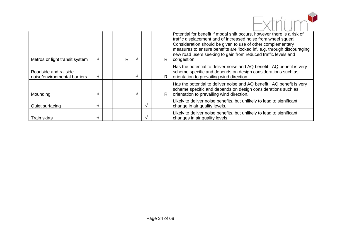|                                                       |               |  |   |          |              | Potential for benefit if modal shift occurs, however there is a risk of<br>traffic displacement and of increased noise from wheel squeal.                                                                              |
|-------------------------------------------------------|---------------|--|---|----------|--------------|------------------------------------------------------------------------------------------------------------------------------------------------------------------------------------------------------------------------|
| Metros or light transit system                        | $\mathcal{N}$ |  | R |          | R            | Consideration should be given to use of other complementary<br>measures to ensure benefits are 'locked in', e.g. through discouraging<br>new road users seeking to gain from reduced traffic levels and<br>congestion. |
| Roadside and railside<br>noise/environmental barriers | $\sqrt{ }$    |  |   |          | $\mathsf{R}$ | Has the potential to deliver noise and AQ benefit. AQ benefit is very<br>scheme specific and depends on design considerations such as<br>orientation to prevailing wind direction.                                     |
| Mounding                                              |               |  |   |          | R            | Has the potential to deliver noise and AQ benefit. AQ benefit is very<br>scheme specific and depends on design considerations such as<br>orientation to prevailing wind direction.                                     |
| Quiet surfacing                                       | $\lambda$     |  |   | $\Delta$ |              | Likely to deliver noise benefits, but unlikely to lead to significant<br>change in air quality levels.                                                                                                                 |
| <b>Train skirts</b>                                   |               |  |   |          |              | Likely to deliver noise benefits, but unlikely to lead to significant<br>changes in air quality levels.                                                                                                                |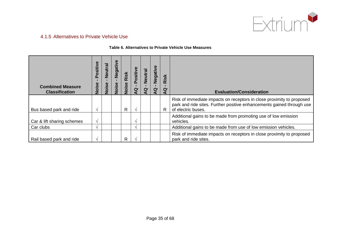

## 4.1.5 Alternatives to Private Vehicle Use

#### **Table 6. Alternatives to Private Vehicle Use Measures**

| <b>Combined Measure</b><br><b>Classification</b> | Positive<br>Noise | <b>Neutral</b><br>Noise | Negative<br>Noise | Risk<br>Noise | Positive<br>g | <b>Neutral</b><br>σ | Negativ<br>σ | Risk<br>σ | <b>Evaluation/Consideration</b>                                                                                                                                      |
|--------------------------------------------------|-------------------|-------------------------|-------------------|---------------|---------------|---------------------|--------------|-----------|----------------------------------------------------------------------------------------------------------------------------------------------------------------------|
| Bus based park and ride                          | $\sim$            |                         |                   | R             |               |                     |              | R         | Risk of immediate impacts on receptors in close proximity to proposed<br>park and ride sites. Further positive enhancements gained through use<br>of electric buses. |
| Car & lift sharing schemes                       | $\sim$            |                         |                   |               |               |                     |              |           | Additional gains to be made from promoting use of low emission<br>vehicles.                                                                                          |
| Car clubs                                        | $\triangleleft$   |                         |                   |               |               |                     |              |           | Additional gains to be made from use of low emission vehicles.                                                                                                       |
| Rail based park and ride                         | $\sim$            |                         |                   | R             |               |                     |              |           | Risk of immediate impacts on receptors in close proximity to proposed<br>park and ride sites.                                                                        |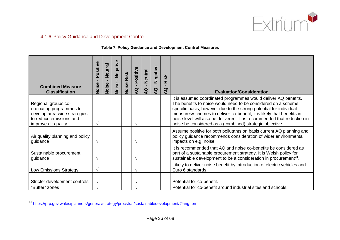

# 4.1.6 Policy Guidance and Development Control

#### **Table 7. Policy Guidance and Development Control Measures**

| <b>Combined Measure</b><br><b>Classification</b>                                                                                  | Positive<br>$\blacksquare$<br>Noise | <b>Neutral</b><br>$\mathbf{L}$<br>Noise | Negative<br>$\mathbf{L}$<br>Noise | Risk<br>Noise | Positive<br>$\mathbf{L}$<br>$\overline{Q}$ | <b>Neutral</b><br>п.<br>Q | Negative<br>$\mathbf{L}$<br>$\overline{a}$ | Risk<br>$\blacksquare$<br>$\overline{a}$ | <b>Evaluation/Consideration</b>                                                                                                                                                                                                                                                                                                                                                                                        |
|-----------------------------------------------------------------------------------------------------------------------------------|-------------------------------------|-----------------------------------------|-----------------------------------|---------------|--------------------------------------------|---------------------------|--------------------------------------------|------------------------------------------|------------------------------------------------------------------------------------------------------------------------------------------------------------------------------------------------------------------------------------------------------------------------------------------------------------------------------------------------------------------------------------------------------------------------|
| Regional groups co-<br>ordinating programmes to<br>develop area wide strategies<br>to reduce emissions and<br>improve air quality | V                                   |                                         |                                   |               | V                                          |                           |                                            |                                          | It is assumed coordinated programmes would deliver AQ benefits.<br>The benefits to noise would need to be considered on a scheme<br>specific basis; however due to the strong potential for individual<br>measures/schemes to deliver co-benefit, it is likely that benefits in<br>noise level will also be delivered. It is recommended that reduction in<br>noise be considered as a (combined) strategic objective. |
| Air quality planning and policy<br>guidance                                                                                       | V                                   |                                         |                                   |               | $\sqrt{}$                                  |                           |                                            |                                          | Assume positive for both pollutants on basis current AQ planning and<br>policy guidance recommends consideration of wider environmental<br>impacts on e.g. noise.                                                                                                                                                                                                                                                      |
| Sustainable procurement<br>guidance                                                                                               |                                     |                                         |                                   |               | $\sqrt{}$                                  |                           |                                            |                                          | It is recommended that AQ and noise co-benefits be considered as<br>part of a sustainable procurement strategy. It is Welsh policy for<br>sustainable development to be a consideration in procurement <sup>31</sup> .                                                                                                                                                                                                 |
| <b>Low Emissions Strategy</b>                                                                                                     | V                                   |                                         |                                   |               | $\sqrt{}$                                  |                           |                                            |                                          | Likely to deliver noise benefit by introduction of electric vehicles and<br>Euro 6 standards.                                                                                                                                                                                                                                                                                                                          |
| Stricter development controls<br>"Buffer" zones                                                                                   | $\sqrt{ }$                          |                                         |                                   |               | $\sqrt{}$<br>$\sqrt{ }$                    |                           |                                            |                                          | Potential for co-benefit.<br>Potential for co-benefit around industrial sites and schools.                                                                                                                                                                                                                                                                                                                             |

<sup>31</sup> <https://prp.gov.wales/planners/general/strategy/procstrat/sustainabledevelopment/?lang=en>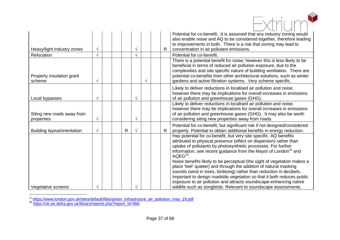| Heavy/light industry zones               | $\sqrt{}$ |  |              | ٦ |   | R | Potential for co-benefit. It is assumed that any industry zoning would<br>also enable noise and AQ to be considered together, therefore leading<br>to improvements in both. There is a risk that zoning may lead to<br>concentration in air pollutant emissions.                                                                                                                                                                                                                                                                                                                                                                                                                                                                                  |
|------------------------------------------|-----------|--|--------------|---|---|---|---------------------------------------------------------------------------------------------------------------------------------------------------------------------------------------------------------------------------------------------------------------------------------------------------------------------------------------------------------------------------------------------------------------------------------------------------------------------------------------------------------------------------------------------------------------------------------------------------------------------------------------------------------------------------------------------------------------------------------------------------|
| Relocation                               | $\sqrt{}$ |  |              | V |   |   | Potential for co-benefit.                                                                                                                                                                                                                                                                                                                                                                                                                                                                                                                                                                                                                                                                                                                         |
| Property insulation grant<br>scheme      | V         |  |              |   | V |   | There is a potential benefit for noise; however this is less likely to be<br>beneficial in terms of reduced air pollution exposure, due to the<br>complexities and site specific nature of building ventilation. There are<br>potential co-benefits from other architectural solutions, such as winter<br>gardens and active filtration systems. Very scheme specific.                                                                                                                                                                                                                                                                                                                                                                            |
| Local bypasses                           |           |  |              |   |   |   | Likely to deliver reductions in localised air pollution and noise,<br>however there may be implications for overall increases in emissions<br>of air pollution and greenhouse gases (GHG).                                                                                                                                                                                                                                                                                                                                                                                                                                                                                                                                                        |
| Siting new roads away from<br>properties | $\sqrt{}$ |  |              |   |   |   | Likely to deliver reductions in localised air pollution and noise,<br>however there may be implications for overall increases in emissions<br>of air pollution and greenhouse gases (GHG). It may also be worth<br>considering siting new properties away from roads.                                                                                                                                                                                                                                                                                                                                                                                                                                                                             |
| Building layout/orientation              | $\sqrt{}$ |  | $\mathsf{R}$ |   |   | R | Potential for co-benefit, but significant risk if not designed/considered<br>properly. Potential to obtain additional benefits in energy reduction.                                                                                                                                                                                                                                                                                                                                                                                                                                                                                                                                                                                               |
| Vegetative screens                       |           |  |              |   |   |   | Has potential for co-benefit, but very site specific. AQ benefits<br>attributed to physical presence (effect on dispersion) rather than<br>uptake of pollutants by photosynthetic processes. For further<br>information, see recent guidance from the Mayor of London <sup>32</sup> and<br>$AQEG^{33}$ .<br>Noise benefits likely to be perceptual (the sight of vegetation makes a<br>place 'feel' quieter) and through the addition of natural masking<br>sounds (wind in trees, birdsong) rather than reduction in decibels<br>Important to design roadside vegetation so that it both reduces public<br>exposure to air pollution and attracts soundscape-enhancing native<br>wildlife such as songbirds. Relevant to soundscape assessments. |
|                                          |           |  |              |   |   |   |                                                                                                                                                                                                                                                                                                                                                                                                                                                                                                                                                                                                                                                                                                                                                   |

<sup>32</sup> [https://www.london.gov.uk/sites/default/files/green\\_infrastruture\\_air\\_pollution\\_may\\_19.pdf](https://www.london.gov.uk/sites/default/files/green_infrastruture_air_pollution_may_19.pdf)<br><sup>33</sup> [https://uk-air.defra.gov.uk/library/reports.php?report\\_id=966](https://uk-air.defra.gov.uk/library/reports.php?report_id=966)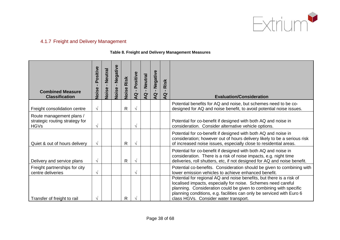<span id="page-42-0"></span>

# 4.1.7 Freight and Delivery Management

#### **Table 8. Freight and Delivery Management Measures**

| <b>Combined Measure</b><br><b>Classification</b>                          | Positive<br>$\mathbf{I}$<br>Noise | <b>Neutral</b><br>$\blacksquare$<br>Noise | Negative<br>$\mathbf{I}$<br>Noise | Risk<br>Noise | Positive<br>$\mathbf{r}$<br><b>Q</b> | <b>Neutral</b><br>$\alpha$ | Negative<br>$\mathbf{L}$<br>Q | Risk<br>$\mathbf{Q}$ | <b>Evaluation/Consideration</b>                                                                                                                                                                                                                                                                                              |
|---------------------------------------------------------------------------|-----------------------------------|-------------------------------------------|-----------------------------------|---------------|--------------------------------------|----------------------------|-------------------------------|----------------------|------------------------------------------------------------------------------------------------------------------------------------------------------------------------------------------------------------------------------------------------------------------------------------------------------------------------------|
| Freight consolidation centre                                              | $\sqrt{ }$                        |                                           |                                   | $\mathsf{R}$  | $\sqrt{ }$                           |                            |                               |                      | Potential benefits for AQ and noise, but schemes need to be co-<br>designed for AQ and noise benefit, to avoid potential noise issues.                                                                                                                                                                                       |
| Route management plans /<br>strategic routing strategy for<br><b>HGVs</b> | V                                 |                                           |                                   |               | V                                    |                            |                               |                      | Potential for co-benefit if designed with both AQ and noise in<br>consideration. Consider alternative vehicle options.                                                                                                                                                                                                       |
| Quiet & out of hours delivery                                             | $\sqrt{ }$                        |                                           |                                   | $\mathsf{R}$  | $\sqrt{ }$                           |                            |                               |                      | Potential for co-benefit if designed with both AQ and noise in<br>consideration; however out of hours delivery likely to be a serious risk<br>of increased noise issues, especially close to residential areas.                                                                                                              |
| Delivery and service plans                                                | $\sqrt{ }$                        |                                           |                                   | $\mathsf{R}$  | $\sqrt{ }$                           |                            |                               |                      | Potential for co-benefit if designed with both AQ and noise in<br>consideration. There is a risk of noise impacts, e.g. night time<br>deliveries, roll shutters, etc, if not designed for AQ and noise benefit.                                                                                                              |
| Freight partnerships for city<br>centre deliveries                        | $\sqrt{}$                         |                                           |                                   |               | $\sqrt{ }$                           |                            |                               |                      | Potential co-benefits. Consideration should be given to combining with<br>lower emission vehicles to achieve enhanced benefit.                                                                                                                                                                                               |
| Transfer of freight to rail                                               |                                   |                                           |                                   | $\mathsf{R}$  |                                      |                            |                               |                      | Potential for regional AQ and noise benefits, but there is a risk of<br>localised impacts, especially for noise. Schemes need careful<br>planning. Consideration could be given to combining with specific<br>planning conditions, e.g. facilities can only be serviced with Euro 6<br>class HGVs. Consider water transport. |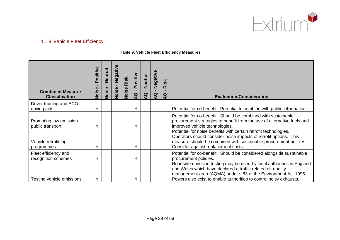<span id="page-43-1"></span><span id="page-43-0"></span>

# 4.1.8 Vehicle Fleet Efficiency

#### **Table 9. Vehicle Fleet Efficiency Measures**

| <b>Combined Measure</b><br><b>Classification</b> | Positive<br>Noise | Neutral<br>$\mathbf{L}$<br>Noise | Negative<br>Noise | Risk<br>Noise | Positive<br>$\mathbf{L}$<br>$\overline{a}$ | <b>Neutral</b><br>$\mathbf{Q}$ | Negative<br>$\blacksquare$<br>$\alpha$ | Risk<br>ă | <b>Evaluation/Consideration</b>                                                                                                                                                                                                                                              |
|--------------------------------------------------|-------------------|----------------------------------|-------------------|---------------|--------------------------------------------|--------------------------------|----------------------------------------|-----------|------------------------------------------------------------------------------------------------------------------------------------------------------------------------------------------------------------------------------------------------------------------------------|
| Driver training and ECO<br>driving aids          | $\sqrt{ }$        |                                  |                   |               |                                            |                                |                                        |           | Potential for co-benefit. Potential to combine with public information.                                                                                                                                                                                                      |
| Promoting low emission<br>public transport       | $\sim$            |                                  |                   |               |                                            |                                |                                        |           | Potential for co-benefit. Should be combined with sustainable<br>procurement strategies to benefit from the use of alternative fuels and<br>improved vehicle technologies.                                                                                                   |
| Vehicle retrofitting<br>programmes               | $\sqrt{ }$        |                                  |                   |               |                                            |                                |                                        |           | Potential for noise benefits with certain retrofit technologies.<br>Operators should consider noise impacts of retrofit options. This<br>measure should be combined with sustainable procurement policies.<br>Consider against replacement costs.                            |
| Fleet efficiency and<br>recognition schemes      | $\sqrt{ }$        |                                  |                   |               | $\mathcal{N}$                              |                                |                                        |           | Potential for co-benefit. Should be considered alongside sustainable<br>procurement policies.                                                                                                                                                                                |
| Testing vehicle emissions                        | $\mathcal{N}$     |                                  |                   |               |                                            |                                |                                        |           | Roadside emission testing may be used by local authorities in England<br>and Wales which have declared a traffic-related air quality<br>management area (AQMA) under s.83 of the Environment Act 1995.<br>Powers also exist to enable authorities to control noisy exhausts. |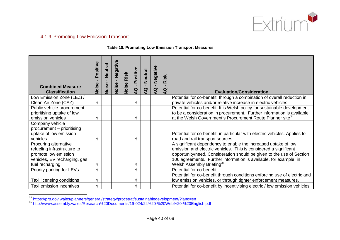

## 4.1.9 Promoting Low Emission Transport

#### **Table 10. Promoting Low Emission Transport Measures**

| <b>Combined Measure</b><br><b>Classification</b>                                                                                | Positive<br>Noise      | Neutral<br>$\mathbf{I}$<br>Noise | Negative<br>Noise | Risk<br>Noise | Positive<br>$\mathbf{r}$<br>Q | <b>Neutral</b><br>$\alpha$ | Negative<br>$\alpha$ | Risk<br>$\mathbf{Q}$ | <b>Evaluation/Consideration</b>                                                                                                                                                                                                                                                                                             |
|---------------------------------------------------------------------------------------------------------------------------------|------------------------|----------------------------------|-------------------|---------------|-------------------------------|----------------------------|----------------------|----------------------|-----------------------------------------------------------------------------------------------------------------------------------------------------------------------------------------------------------------------------------------------------------------------------------------------------------------------------|
| Low Emission Zone (LEZ) /<br>Clean Air Zone (CAZ)                                                                               | $\sqrt{ }$             |                                  |                   |               | $\sqrt{ }$                    |                            |                      |                      | Potential for co-benefit, through a combination of overall reduction in<br>private vehicles and/or relative increase in electric vehicles.                                                                                                                                                                                  |
| Public vehicle procurement -<br>prioritising uptake of low<br>emission vehicles                                                 | $\mathcal{N}$          |                                  |                   |               | V                             |                            |                      |                      | Potential for co-benefit. It is Welsh policy for sustainable development<br>to be a consideration in procurement. Further information is available<br>at the Welsh Government's Procurement Route Planner site <sup>34</sup> .                                                                                              |
| Company vehicle<br>procurement - prioritising<br>uptake of low emission<br>vehicles                                             | $\boldsymbol{\Lambda}$ |                                  |                   |               | $\mathcal{N}$                 |                            |                      |                      | Potential for co-benefit, in particular with electric vehicles. Applies to<br>road and rail transport sources.                                                                                                                                                                                                              |
| Procuring alternative<br>refueling infrastructure to<br>promote low emission<br>vehicles, EV recharging, gas<br>fuel recharging |                        |                                  |                   |               | $\sqrt{ }$                    |                            |                      |                      | A significant dependency to enable the increased uptake of low<br>emission and electric vehicles. This is considered a significant<br>opportunity/need. Consideration should be given to the use of Section<br>106 agreements. Further information is available, for example, in<br>Welsh Assembly Briefing <sup>35</sup> . |
| Priority parking for LEVs                                                                                                       |                        |                                  |                   |               | $\sqrt{ }$                    |                            |                      |                      | Potential for co-benefit.                                                                                                                                                                                                                                                                                                   |
| Taxi licensing conditions                                                                                                       | $\sim$                 |                                  |                   |               | $\sqrt{ }$                    |                            |                      |                      | Potential for co-benefit through conditions enforcing use of electric and<br>low emission vehicles, or through tighter enforcement measures.                                                                                                                                                                                |
| Taxi emission incentives                                                                                                        |                        |                                  |                   |               | √                             |                            |                      |                      | Potential for co-benefit by incentivising electric / low emission vehicles.                                                                                                                                                                                                                                                 |

<sup>&</sup>lt;sup>34</sup> <https://prp.gov.wales/planners/general/strategy/procstrat/sustainabledevelopment/?lang=en><br><sup>35</sup> <http://www.assembly.wales/Research%20Documents/19-024/24%20-%20Web%20-%20English.pdf>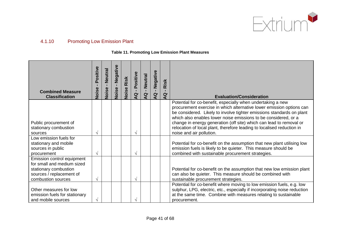

# 4.1.10 Promoting Low Emission Plant

#### **Table 11. Promoting Low Emission Plant Measures**

| <b>Combined Measure</b><br><b>Classification</b>                                                                                    | Positive<br>$\blacksquare$<br>Noise | Neutral<br>$\mathbf{r}$<br>Noise | Negative<br>$\mathbf{I}$<br>Noise | Risk<br><b>Noise</b> | Positive<br>$\mathbf{r}$<br>$\overline{Q}$ | <b>Neutral</b><br>$\mathbf{Q}$ | Negative<br>$\overline{a}$ | Risk<br>$\overline{a}$ | <b>Evaluation/Consideration</b>                                                                                                                                                                                                                                                                                                                                                                                                                              |
|-------------------------------------------------------------------------------------------------------------------------------------|-------------------------------------|----------------------------------|-----------------------------------|----------------------|--------------------------------------------|--------------------------------|----------------------------|------------------------|--------------------------------------------------------------------------------------------------------------------------------------------------------------------------------------------------------------------------------------------------------------------------------------------------------------------------------------------------------------------------------------------------------------------------------------------------------------|
| Public procurement of<br>stationary combustion<br>sources                                                                           | $\sqrt{ }$                          |                                  |                                   |                      | V                                          |                                |                            |                        | Potential for co-benefit, especially when undertaking a new<br>procurement exercise in which alternative lower emission options can<br>be considered. Likely to involve tighter emissions standards on plant<br>which also enables lower noise emissions to be considered, or a<br>change in energy generation (off site) which can lead to removal or<br>relocation of local plant, therefore leading to localised reduction in<br>noise and air pollution. |
| Low emission fuels for<br>stationary and mobile<br>sources in public<br>procurement                                                 | V                                   |                                  |                                   |                      | V                                          |                                |                            |                        | Potential for co-benefit on the assumption that new plant utilising low<br>emission fuels is likely to be quieter. This measure should be<br>combined with sustainable procurement strategies.                                                                                                                                                                                                                                                               |
| Emission control equipment<br>for small and medium sized<br>stationary combustion<br>sources / replacement of<br>combustion sources | $\sqrt{ }$                          |                                  |                                   |                      | V                                          |                                |                            |                        | Potential for co-benefit on the assumption that new low emission plant<br>can also be quieter. This measure should be combined with<br>sustainable procurement strategies.                                                                                                                                                                                                                                                                                   |
| Other measures for low<br>emission fuels for stationary<br>and mobile sources                                                       | $\sqrt{ }$                          |                                  |                                   |                      |                                            |                                |                            |                        | Potential for co-benefit where moving to low emission fuels, e.g. low<br>sulphur, LPG, electric, etc., especially if incorporating noise reduction<br>at the same time. Combine with measures relating to sustainable<br>procurement.                                                                                                                                                                                                                        |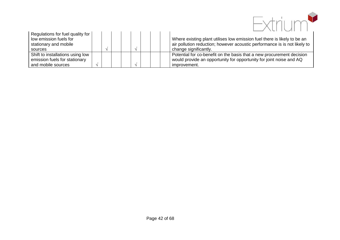<span id="page-46-1"></span><span id="page-46-0"></span>

| Regulations for fuel quality for<br>low emission fuels for<br>stationary and mobile |  |  |  | Where existing plant utilises low emission fuel there is likely to be an<br>air pollution reduction; however acoustic performance is is not likely to |
|-------------------------------------------------------------------------------------|--|--|--|-------------------------------------------------------------------------------------------------------------------------------------------------------|
| sources                                                                             |  |  |  | change significantly.                                                                                                                                 |
| Shift to installations using low<br>emission fuels for stationary                   |  |  |  | Potential for co-benefit on the basis that a new procurement decision<br>would provide an opportunity for opportunity for joint noise and AQ          |
| and mobile sources                                                                  |  |  |  | improvement.                                                                                                                                          |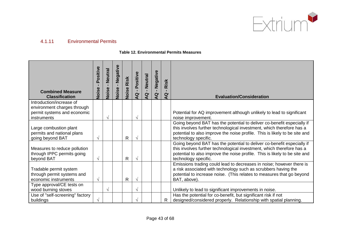

# 4.1.11 Environmental Permits

#### **Table 12. Environmental Permits Measures**

| <b>Combined Measure</b><br><b>Classification</b>                                                      | Positive<br>$\blacksquare$<br>Noise | <b>Neutral</b><br>$\mathbf{L}$<br>Noise | Negative<br>$\mathbf{L}$<br>Noise | Risk<br>Noise | Positive<br>$\mathbf{L}$<br>Q | <b>Neutral</b><br><b>Q</b> | Negative<br>$\mathbf{L}$<br>Q | Risk<br>Q    | <b>Evaluation/Consideration</b>                                                                                                                                                                                                                       |
|-------------------------------------------------------------------------------------------------------|-------------------------------------|-----------------------------------------|-----------------------------------|---------------|-------------------------------|----------------------------|-------------------------------|--------------|-------------------------------------------------------------------------------------------------------------------------------------------------------------------------------------------------------------------------------------------------------|
| Introduction/increase of<br>environment charges through<br>permit systems and economic<br>instruments |                                     | $\sqrt{ }$                              |                                   |               | $\sqrt{}$                     |                            |                               |              | Potential for AQ improvement although unlikely to lead to significant<br>noise improvement.                                                                                                                                                           |
| Large combustion plant<br>permits and national plans<br>going beyond BAT                              | V                                   |                                         |                                   | $\mathsf{R}$  | $\mathcal{N}$                 |                            |                               |              | Going beyond BAT has the potential to deliver co-benefit especially if<br>this involves further technological investment, which therefore has a<br>potential to also improve the noise profile. This is likely to be site and<br>technology specific. |
| Measures to reduce pollution<br>through IPPC permits going<br>beyond BAT                              | V                                   |                                         |                                   | R             | $\sqrt{ }$                    |                            |                               |              | Going beyond BAT has the potential to deliver co-benefit especially if<br>this involves further technological investment, which therefore has a<br>potential to also improve the noise profile. This is likely to be site and<br>technology specific. |
| Tradable permit system<br>through permit systems and<br>economic instruments                          | $\sqrt{ }$                          |                                         |                                   | $\mathsf{R}$  | $\boldsymbol{\gamma}$         |                            |                               |              | Emissions trading could lead to decreases in noise; however there is<br>a risk associated with technology such as scrubbers having the<br>potential to increase noise. (This relates to measures that go beyond<br>BAT, above).                       |
| Type approval/CE tests on<br>wood burning stoves                                                      |                                     | $\sqrt{ }$                              |                                   |               | $\sqrt{}$                     |                            |                               |              | Unlikely to lead to significant improvements in noise.                                                                                                                                                                                                |
| Use of "self-screening" factory<br>buildings                                                          | V                                   |                                         |                                   |               | $\sqrt{}$                     |                            |                               | $\mathsf{R}$ | Has the potential for co-benefit, but significant risk if not<br>designed/considered properly. Relationship with spatial planning.                                                                                                                    |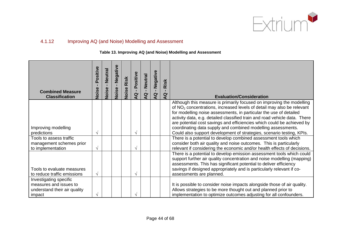

# 4.1.12 Improving AQ (and Noise) Modelling and Assessment

**Table 13. Improving AQ (and Noise) Modelling and Assessment**

| <b>Combined Measure</b><br><b>Classification</b>                                           | Positive<br>Noise | <b>Neutral</b><br>$\mathbf{L}$<br>Noise | Negative<br>$\mathbf{I}$<br>Noise | Risk<br>Noise | Positive<br>$\mathbf{L}$<br>$\overline{a}$ | <b>Neutral</b><br>п.<br>$\overline{a}$ | Negative<br>$\mathbf{L}$<br>$\mathbf{Q}$ | Risk<br>$\overline{a}$ | <b>Evaluation/Consideration</b>                                                                                                                                                                                                                                                                                                                                                                                                                 |
|--------------------------------------------------------------------------------------------|-------------------|-----------------------------------------|-----------------------------------|---------------|--------------------------------------------|----------------------------------------|------------------------------------------|------------------------|-------------------------------------------------------------------------------------------------------------------------------------------------------------------------------------------------------------------------------------------------------------------------------------------------------------------------------------------------------------------------------------------------------------------------------------------------|
| Improving modelling                                                                        |                   |                                         |                                   |               |                                            |                                        |                                          |                        | Although this measure is primarily focused on improving the modelling<br>of $NO2$ concentrations, increased levels of detail may also be relevant<br>for modelling noise assessments, in particular the use of detailed<br>activity data, e.g. detailed classified train and road vehicle data. There<br>are potential cost savings and efficiencies which could be achieved by<br>coordinating data supply and combined modelling assessments. |
| predictions                                                                                | $\mathcal{N}$     |                                         |                                   |               | $\sqrt{ }$                                 |                                        |                                          |                        | Could also support development of strategies, scenario testing, KPIs.                                                                                                                                                                                                                                                                                                                                                                           |
| Tools to assess traffic<br>management schemes prior<br>to implementation                   | $\sqrt{ }$        |                                         |                                   |               | $\mathcal{N}$                              |                                        |                                          |                        | There is a potential to develop combined assessment tools which<br>consider both air quality and noise outcomes. This is particularly<br>relevant if considering the economic and/or health effects of decisions.                                                                                                                                                                                                                               |
| Tools to evaluate measures<br>to reduce traffic emissions                                  | $\sqrt{ }$        |                                         |                                   |               | $\sqrt{ }$                                 |                                        |                                          |                        | There is a potential to develop emission assessment tools which could<br>support further air quality concentration and noise modelling (mapping)<br>assessments. This has significant potential to deliver efficiency<br>savings if designed appropriately and is particularly relevant if co-<br>assessments are planned.                                                                                                                      |
| Investigating specific<br>measures and issues to<br>understand their air quality<br>impact |                   |                                         |                                   |               |                                            |                                        |                                          |                        | It is possible to consider noise impacts alongside those of air quality.<br>Allows strategies to be more thought out and planned prior to<br>implementation to optimize outcomes adjusting for all confounders.                                                                                                                                                                                                                                 |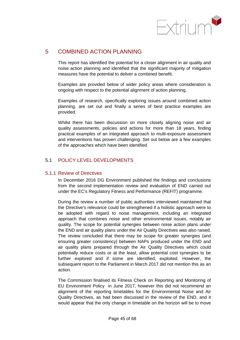

# 5 COMBINED ACTION PLANNING

This report has identified the potential for a closer alignment in air quality and noise action planning and identified that the significant majority of mitigation measures have the potential to deliver a combined benefit.

Examples are provided below of wider policy areas where consideration is ongoing with respect to the potential alignment of action planning.

Examples of research, specifically exploring issues around combined action planning, are set out and finally a series of best practice examples are provided.

Whilst there has been discussion on more closely aligning noise and air quality assessments, policies and actions for more than 18 years, finding practical examples of an integrated approach to multi-exposure assessment and interventions has proven challenging. Set out below are a few examples of the approaches which have been identified

## 5.1 POLICY LEVEL DEVELOPMENTS

#### 5.1.1 Review of Directives

In December 2016 DG Environment published the findings and conclusions from the second implementation review and evaluation of END carried out under the EC's Regulatory Fitness and Performance (REFIT) programme.

During the review a number of public authorities interviewed maintained that the Directive's relevance could be strengthened if a holistic approach were to be adopted with regard to noise management, including an integrated approach that combines noise and other environmental issues, notably air quality. The scope for potential synergies between noise action plans under the END and air quality plans under the Air Quality Directives was also raised. The review concluded that there may be scope for greater synergies (and ensuring greater consistency) between NAPs produced under the END and air quality plans prepared through the Air Quality Directives which could potentially reduce costs or at the least, allow potential cost synergies to be further explored and if some are identified, exploited. However, the subsequent report to the Parliament in March 2017 did not mention this as an action.

The Commission finalised its Fitness Check on Reporting and Monitoring of EU Environment Policy in June 2017, however this did not recommend an alignment of the reporting timetables for the Environmental Noise and Air Quality Directives, as had been discussed in the review of the END, and it would appear that the only change in timetable on the horizon will be to move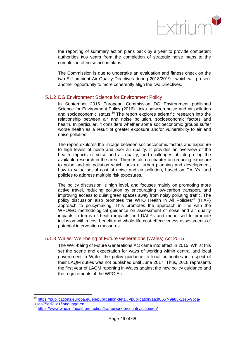

the reporting of summary action plans back by a year to provide competent authorities two years from the completion of strategic noise maps to the completion of noise action plans.

The Commission is due to undertake an evaluation and fitness check on the two EU ambient Air Quality Directives during 2018/2019 , which will present another opportunity to more coherently align the two Directives.

## 5.1.2 DG Environment Science for Environment Policy

In September 2016 European Commission DG Environment published Science for Environment Policy (2016) Links between noise and air pollution and socioeconomic status.<sup>[36](#page-52-0)</sup> The report explores scientific research into the relationship between air and noise pollution, socioeconomic factors and health. In particular, it considers whether some socioeconomic groups suffer worse health as a result of greater exposure and/or vulnerability to air and noise pollution.

The report explores the linkage between socioeconomic factors and exposure to high levels of noise and poor air quality. It provides an overview of the health impacts of noise and air quality, and challenges of interpreting the available research in the area. There is also a chapter on reducing exposure to noise and air pollution which looks at urban planning and development, how to value social cost of noise and air pollution, based on DALYs, and policies to address multiple risk exposures.

The policy discussion is high level, and focuses mainly on promoting more active travel, reducing pollution by encouraging low-carbon transport, and improving access to quiet green spaces away from noisy polluting traffic. The policy discussion also promotes the WHO Health in All Policies<sup>[37](#page-52-1)</sup> (HIAP) approach to policymaking. This promotes the approach in line with the WHO/EC methodological guidance on assessment of noise and air quality impacts in terms of health impacts and DALYs and monetised to promote inclusion within cost benefit and whole-life cost-effectiveness assessments of potential intervention measures.

#### 5.1.3 Wales: Well-being of Future Generations (Wales) Act 2015

The Well-being of Future Generations Act came into effect in 2015. Whilst this set the scene and expectation for ways of working within central and local government in Wales the policy guidance to local authorities in respect of their LAQM duties was not published until June 2017. Thus, 2018 represents the first year of LAQM reporting in Wales against the new policy guidance and the requirements of the WFG Act.

<sup>36</sup> [https://publications.europa.eu/en/publication-detail/-/publication/1a3f0657-9a83-11e6-9bca-](https://publications.europa.eu/en/publication-detail/-/publication/1a3f0657-9a83-11e6-9bca-01aa75ed71a1/language-en)[01aa75ed71a1/language-en](https://publications.europa.eu/en/publication-detail/-/publication/1a3f0657-9a83-11e6-9bca-01aa75ed71a1/language-en)

<sup>37</sup> <https://www.who.int/healthpromotion/frameworkforcountryaction/en/>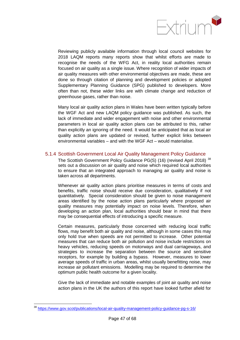

Reviewing publicly available information through local council websites for 2018 LAQM reports many reports show that whilst efforts are made to recognise the needs of the WFG Act, in reality local authorities remain focused on air quality as a single issue. Where recognition of wider impacts of air quality measures with other environmental objectives are made, these are done so through citation of planning and development policies or adopted Supplementary Planning Guidance (SPG) published to developers. More often than not, these wider links are with climate change and reduction of greenhouse gases, rather than noise.

Many local air quality action plans in Wales have been written typically before the WGF Act and new LAQM policy guidance was published. As such, the lack of immediate and wider engagement with noise and other environmental parameters in local air quality action plans can be attributed to this, rather than explicitly an ignoring of the need. It would be anticipated that as local air quality action plans are updated or revised, further explicit links between environmental variables – and with the WGF Act – would materialise.

## 5.1.4 Scottish Government Local Air Quality Management Policy Guidance

The Scottish Government Policy Guidance PG(S) (16) (revised April 2018)<sup>[38](#page-53-0)</sup> sets out a discussion on air quality and noise which required local authorities to ensure that an integrated approach to managing air quality and noise is taken across all departments.

Whenever air quality action plans prioritise measures in terms of costs and benefits, traffic noise should receive due consideration, qualitatively if not quantitatively. Special consideration should be given to noise management areas identified by the noise action plans particularly where proposed air quality measures may potentially impact on noise levels. Therefore, when developing an action plan, local authorities should bear in mind that there may be consequential effects of introducing a specific measure.

Certain measures, particularly those concerned with reducing local traffic flows, may benefit both air quality and noise, although in some cases this may only hold true when speeds are not permitted to increase. Other potential measures that can reduce both air pollution and noise include restrictions on heavy vehicles, reducing speeds on motorways and dual carriageways, and strategies to increase the separation between the source and sensitive receptors, for example by building a bypass. However, measures to lower average speeds of traffic in urban areas, whilst usually benefitting noise, may increase air pollutant emissions. Modelling may be required to determine the optimum public health outcome for a given locality.

Give the lack of immediate and notable examples of joint air quality and noise action plans in the UK the authors of this report have looked further afield for

<sup>38</sup> <https://www.gov.scot/publications/local-air-quality-management-policy-guidance-pg-s-16/>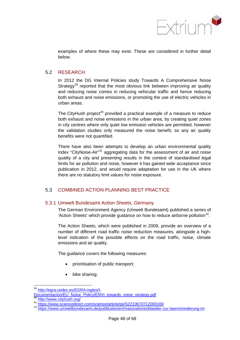

examples of where these may exist. These are considered in further detail below.

## 5.2 RESEARCH

In 2012 the DG Internal Policies study Towards A Comprehensive Noise Strategy<sup>[39](#page-54-0)</sup> reported that the most obvious link between improving air quality and reducing noise comes in reducing vehicular traffic and hence reducing both exhaust and noise emissions, or promoting the use of electric vehicles in urban areas.

The CityHush project<sup>[40](#page-54-1)</sup> provided a practical example of a measure to reduce both exhaust and noise emissions in the urban area, by creating quiet zones in city centres where only quiet low emission vehicles are permitted, however the validation studies only measured the noise benefit, so any air quality benefits were not quantified.

There have also been attempts to develop an urban environmental quality index "CityNoise-Air"<sup>[41](#page-54-2)</sup> aggregating data for the assessment of air and noise quality of a city and presenting results in the context of standardised legal limits for air pollution and noise, however it has gained wide acceptance since publication in 2012, and would require adaptation for use in the UK where there are no statutory limit values for noise exposure.

## 5.3 COMBINED ACTION PLANNING BEST PRACTICE

## 5.3.1 Umwelt Bundesamt Action Sheets, Germany

The German Environment Agency (Umwelt Bundesamt) published a series of 'Action Sheets' which provide guidance on how to reduce airborne pollution $42$ .

The Action Sheets, which were published in 2009, provide an overview of a number of different road traffic noise reduction measures, alongside a highlevel indication of the possible effects on the road traffic, noise, climate emissions and air quality.

The guidance covers the following measures:

- prioritisation of public transport;
- bike sharing;

[http://egra.cedex.es/EGRA-ingles/I-](http://egra.cedex.es/EGRA-ingles/I-Documentacion/EU_Noise_Policy/ENVI_towards_noise_strategy.pdf)

[Documentacion/EU\\_Noise\\_Policy/ENVI\\_towards\\_noise\\_strategy.pdf](http://egra.cedex.es/EGRA-ingles/I-Documentacion/EU_Noise_Policy/ENVI_towards_noise_strategy.pdf)<br>a0\_http://www.cityhush.org/

<span id="page-52-1"></span><span id="page-52-0"></span><sup>41</sup> <https://www.sciencedirect.com/science/article/pii/S2210670712000169><br><sup>42</sup> <https://www.umweltbundesamt.de/publikationen/massnahmenblaetter-zur-laermminderung-im>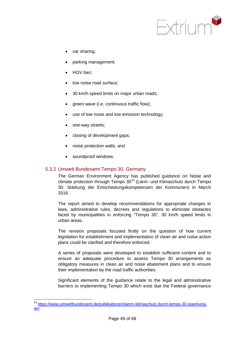

- car sharing;
- parking management;
- HGV ban;
- low noise road surface:
- 30 km/h speed limits on major urban roads;
- green wave (i.e. continuous traffic flow);
- use of low noise and low emission technology;
- one-way streets;
- closing of development gaps:
- noise protection walls; and
- soundproof windows.

## 5.3.2 Umwelt Bundesamt Tempo 30, Germany

The German Environment Agency has published guidance on Noise and climate protection through Tempo 30<sup>[43](#page-55-0)</sup> (Lärm- und Klimaschutz durch Tempo 30: Stärkung der Entscheidungskompetenzen der Kommunen) in March 2016.

The report aimed to develop recommendations for appropriate changes in laws, administrative rules, decrees and regulations to eliminate obstacles faced by municipalities in enforcing "Tempo 30", 30 km/h speed limits in urban areas.

The revision proposals focused firstly on the question of how current legislation for establishment and implementation of clean air and noise action plans could be clarified and therefore enforced.

A series of proposals were developed to establish sufficient content and to ensure an adequate procedure to assess Tempo 30 arrangements as obligatory measures in clean air and noise abatement plans and to ensure their implementation by the road traffic authorities.

Significant elements of the guidance relate to the legal and administrative barriers to implementing Tempo 30 which exist due the Federal governance

<span id="page-53-0"></span><sup>43</sup> [https://www.umweltbundesamt.de/publikationen/laerm-klimaschutz-durch-tempo-30-staerkung](https://www.umweltbundesamt.de/publikationen/laerm-klimaschutz-durch-tempo-30-staerkung-der)[der](https://www.umweltbundesamt.de/publikationen/laerm-klimaschutz-durch-tempo-30-staerkung-der)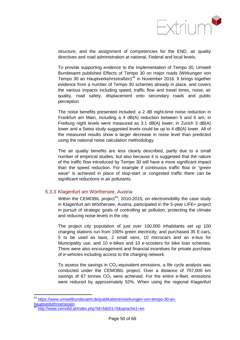

structure, and the assignment of competencies for the END, air quality directives and road administration at national, Federal and local levels.

To provide supporting evidence to the implementation of Tempo 30, Umwelt Bundesamt published Effects of Tempo 30 on major roads (Wirkungen von Tempo 30 an Hauptverkehrsstraßen)<sup>[44](#page-56-0)</sup> in November 2016. It brings together evidence from a number of Tempo 30 schemes already in place, and covers the various impacts including speed, traffic flow and travel times, noise, air quality, road safety, displacement onto secondary roads and public perception.

The noise benefits presented included: a 2 dB night-time noise reduction in Frankfurt am Main, including a 4 dB(A) reduction between 5 and 6 am; in Freiburg night levels were measured as 3.1 dB(A) lower; in Zurich 3 dB(A) lower and a Swiss study suggested levels could be up to 4 dB(A) lower. All of the measured results show a larger decrease in noise level than predicted using the national noise calculation methodology.

The air quality benefits are less clearly described, partly due to a small number of empirical studies, but also because it is suggested that the nature of the traffic flow introduced by Tempo 30 will have a more significant impact than the speed reduction. For example if continuous traffic flow or "green wave" is achieved in place of stop-start or congested traffic there can be significant reductions in air pollutants.

## 5.3.3 Klagenfurt am Wörthersee, Austria

Within the CEMOBIL project<sup>45</sup>, 2010-2015, on electromobility the case study in Klagenfurt am Wörthersee, Austria, participated in the 5-year LIFE+ project in pursuit of strategic goals of controlling air pollution, protecting the climate and reducing noise levels in the city.

The project city population of just over 100,000 inhabitants set up 100 charging stations run from 100% green electricity, and purchased 35 E-cars, 5 to be used as taxis, 2 small vans, 10 microcars and an e-bus for Municipality use, and 10 e-bikes and 10 e-scooters for bike loan schemes. There were also encouragement and financial incentives for private purchase of e-vehicles including access to the charging network.

To assess the savings in  $CO<sub>2</sub>$ -equivalent emissions, a life cycle analysis was conducted under the CEMOBIL project. Over a distance of 707,000 km savings of 67 tonnes  $CO<sub>2</sub>$  were achieved. For the entire e-fleet, emissions were reduced by approximately 52%. When using the regional Klagenfurt

<span id="page-54-2"></span><span id="page-54-1"></span><span id="page-54-0"></span><sup>44</sup> [https://www.umweltbundesamt.de/publikationen/wirkungen-von-tempo-30-an](https://www.umweltbundesamt.de/publikationen/wirkungen-von-tempo-30-an-hauptverkehrsstrassen)[hauptverkehrsstrassen](https://www.umweltbundesamt.de/publikationen/wirkungen-von-tempo-30-an-hauptverkehrsstrassen)

<span id="page-54-3"></span><http://www.cemobil.at/index.php?id=5&ID1=5&sprache1=en>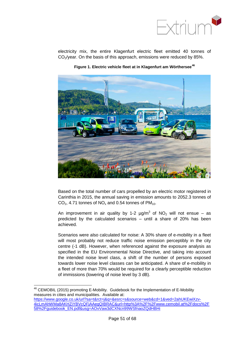

electricity mix, the entire Klagenfurt electric fleet emitted 40 tonnes of  $CO<sub>2</sub>/year$ . On the basis of this approach, emissions were reduced by 85%.



**Figure 1. Electric vehicle fleet at in Klagenfurt am Wörthersee[46](#page-57-0)**

Based on the total number of cars propelled by an electric motor registered in Carinthia in 2015, the annual saving in emission amounts to 2052.3 tonnes of  $CO<sub>2</sub>$ , 4.71 tonnes of NO<sub>x</sub> and 0.54 tonnes of PM<sub>10</sub>.

An improvement in air quality by 1-2  $\mu$ g/m<sup>3</sup> of NO<sub>2</sub> will not ensue – as predicted by the calculated scenarios – until a share of 20% has been achieved.

Scenarios were also calculated for noise: A 30% share of e-mobility in a fleet will most probably not reduce traffic noise emission perceptibly in the city centre (-1 dB). However, when referenced against the exposure analysis as specified in the EU Environmental Noise Directive, and taking into account the intended noise level class, a shift of the number of persons exposed towards lower noise level classes can be anticipated. A share of e-mobility in a fleet of more than 70% would be required for a clearly perceptible reduction of immissions (lowering of noise level by 3 dB).

<span id="page-55-0"></span> <sup>46</sup> CEMOBIL (2015) promoting E-Mobility. Guidebook for the Implementation of E-Mobility measures in cities and municipalities. Available at: [https://www.google.co.uk/url?sa=t&rct=j&q=&esrc=s&source=web&cd=1&ved=2ahUKEwiXzv-](https://www.google.co.uk/url?sa=t&rct=j&q=&esrc=s&source=web&cd=1&ved=2ahUKEwiXzv-4icLmAhWMa8AKHZiYBVcQFjAAegQIBRAC&url=http%3A%2F%2Fwww.cemobil.at%2Fdocs%2F58%2Fguidebook_EN.pdf&usg=AOvVaw3dCXNcn99WSfnaoZQdHBHi)[4icLmAhWMa8AKHZiYBVcQFjAAegQIBRAC&url=http%3A%2F%2Fwww.cemobil.at%2Fdocs%2F](https://www.google.co.uk/url?sa=t&rct=j&q=&esrc=s&source=web&cd=1&ved=2ahUKEwiXzv-4icLmAhWMa8AKHZiYBVcQFjAAegQIBRAC&url=http%3A%2F%2Fwww.cemobil.at%2Fdocs%2F58%2Fguidebook_EN.pdf&usg=AOvVaw3dCXNcn99WSfnaoZQdHBHi) [58%2Fguidebook\\_EN.pdf&usg=AOvVaw3dCXNcn99WSfnaoZQdHBHi](https://www.google.co.uk/url?sa=t&rct=j&q=&esrc=s&source=web&cd=1&ved=2ahUKEwiXzv-4icLmAhWMa8AKHZiYBVcQFjAAegQIBRAC&url=http%3A%2F%2Fwww.cemobil.at%2Fdocs%2F58%2Fguidebook_EN.pdf&usg=AOvVaw3dCXNcn99WSfnaoZQdHBHi)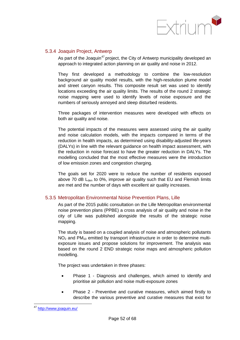

## 5.3.4 Joaquin Project, Antwerp

As part of the Joaquin<sup>[47](#page-58-0)</sup> project, the City of Antwerp municipality developed an approach to integrated action planning on air quality and noise in 2012.

They first developed a methodology to combine the low-resolution background air quality model results, with the high-resolution plume model and street canyon results. This composite result set was used to identify locations exceeding the air quality limits. The results of the round 2 strategic noise mapping were used to identify levels of noise exposure and the numbers of seriously annoyed and sleep disturbed residents.

Three packages of intervention measures were developed with effects on both air quality and noise.

The potential impacts of the measures were assessed using the air quality and noise calculation models, with the impacts compared in terms of the reduction in health impacts, as determined using disability-adjusted life-years (DALYs) in line with the relevant guidance on health impact assessment, with the reduction in noise forecast to have the greater reduction in DALYs. The modelling concluded that the most effective measures were the introduction of low emission zones and congestion charging.

The goals set for 2020 were to reduce the number of residents exposed above 70 dB  $L<sub>den</sub>$  to 0%, improve air quality such that EU and Flemish limits are met and the number of days with excellent air quality increases.

#### 5.3.5 Metropolitan Environmental Noise Prevention Plans, Lille

As part of the 2015 public consultation on the Lille Metropolitan environmental noise prevention plans (PPBE) a cross analysis of air quality and noise in the city of Lille was published alongside the results of the strategic noise mapping.

The study is based on a coupled analysis of noise and atmospheric pollutants  $NO<sub>2</sub>$  and PM<sub>10</sub> emitted by transport infrastructure in order to determine multiexposure issues and propose solutions for improvement. The analysis was based on the round 2 END strategic noise maps and atmospheric pollution modelling.

The project was undertaken in three phases:

- Phase 1 Diagnosis and challenges, which aimed to identify and prioritise air pollution and noise multi-exposure zones
- Phase 2 Preventive and curative measures, which aimed firstly to describe the various preventive and curative measures that exist for

<span id="page-56-1"></span><span id="page-56-0"></span><sup>47</sup> <http://www.joaquin.eu/>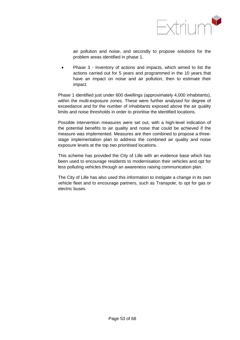

air pollution and noise, and secondly to propose solutions for the problem areas identified in phase 1.

• Phase 3 - Inventory of actions and impacts, which aimed to list the actions carried out for 5 years and programmed in the 10 years that have an impact on noise and air pollution, then to estimate their impact.

Phase 1 identified just under 600 dwellings (approximately 4,000 inhabitants), within the multi-exposure zones. These were further analysed for degree of exceedance and for the number of inhabitants exposed above the air quality limits and noise thresholds in order to prioritise the identified locations.

Possible intervention measures were set out, with a high-level indication of the potential benefits to air quality and noise that could be achieved if the measure was implemented. Measures are then combined to propose a threestage implementation plan to address the combined air quality and noise exposure levels at the top two prioritised locations.

This scheme has provided the City of Lille with an evidence base which has been used to encourage residents to modernisation their vehicles and opt for less polluting vehicles through an awareness raising communication plan.

<span id="page-57-0"></span>The City of Lille has also used this information to instigate a change in its own vehicle fleet and to encourage partners, such as Transpole, to opt for gas or electric buses.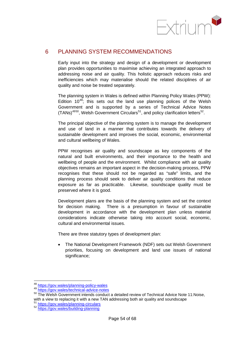

# 6 PLANNING SYSTEM RECOMMENDATIONS

Early input into the strategy and design of a development or development plan provides opportunities to maximise achieving an integrated approach to addressing noise and air quality. This holistic approach reduces risks and inefficiencies which may materialise should the related disciplines of air quality and noise be treated separately.

The planning system in Wales is defined within Planning Policy Wales (PPW): Edition  $10^{48}$  $10^{48}$  $10^{48}$ ; this sets out the land use planning polices of the Welsh Government and is supported by a series of Technical Advice Notes  $(TANs)^{4950}$  $(TANs)^{4950}$  $(TANs)^{4950}$  $(TANs)^{4950}$ , Welsh Government Circulars<sup>[51](#page-60-3)</sup>, and policy clarification letters<sup>[52](#page-60-4)</sup>.

The principal objective of the planning system is to manage the development and use of land in a manner that contributes towards the delivery of sustainable development and improves the social, economic, environmental and cultural wellbeing of Wales.

PPW recognises air quality and soundscape as key components of the natural and built environments, and their importance to the health and wellbeing of people and the environment. Whilst compliance with air quality objectives remains an important aspect in the decision-making process, PPW recognises that these should not be regarded as "safe" limits, and the planning process should seek to deliver air quality conditions that reduce exposure as far as practicable. Likewise, soundscape quality must be preserved where it is good.

Development plans are the basis of the planning system and set the context for decision making. There is a presumption in favour of sustainable development in accordance with the development plan unless material considerations indicate otherwise taking into account social, economic, cultural and environmental issues.

There are three statutory types of development plan:

• The National Development Framework (NDF) sets out Welsh Government priorities, focusing on development and land use issues of national significance;

<sup>48</sup> <https://gov.wales/planning-policy-wales>

<sup>49</sup> <https://gov.wales/technical-advice-notes>

<sup>&</sup>lt;sup>50</sup> The Welsh Government intends conduct a detailed review of Technical Advice Note 11:Noise, with a view to replacing it with a new TAN addressing both air quality and soundscape  $\frac{51 \text{ https://gov.wales/planning-circulars}}{2}$  $\frac{51 \text{ https://gov.wales/planning-circulars}}{2}$  $\frac{51 \text{ https://gov.wales/planning-circulars}}{2}$ 

<span id="page-58-0"></span><sup>52</sup> <https://gov.wales/building-planning>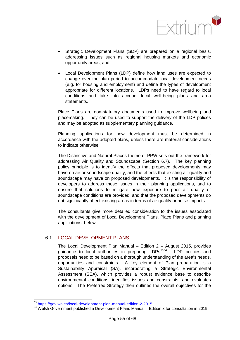

- Strategic Development Plans (SDP) are prepared on a regional basis, addressing issues such as regional housing markets and economic opportunity areas; and
- Local Development Plans (LDP) define how land uses are expected to change over the plan period to accommodate local development needs (e.g. for housing and employment) and define the types of development appropriate for different locations. LDPs need to have regard to local conditions and take into account local well-being plans and area statements.

Place Plans are non-statutory documents used to improve wellbeing and placemaking. They can be used to support the delivery of the LDP polices and may be adopted as supplementary planning guidance.

Planning applications for new development must be determined in accordance with the adopted plans, unless there are material considerations to indicate otherwise.

The Distinctive and Natural Places theme of PPW sets out the framework for addressing Air Quality and Soundscape (Section 6.7). The key planning policy principle is to identify the effects that proposed developments may have on air or soundscape quality, and the effects that existing air quality and soundscape may have on proposed developments. It is the responsibility of developers to address these issues in their planning applications, and to ensure that solutions to mitigate new exposure to poor air quality or soundscape conditions are provided, and that the proposed developments do not significantly affect existing areas in terms of air quality or noise impacts.

The consultants give more detailed consideration to the issues associated with the development of Local Development Plans, Place Plans and planning applications, below.

## 6.1 LOCAL DEVELOPMENT PLANS

The Local Development Plan Manual – Edition 2 – August 2015, provides quidance to local authorities in preparing LDPs<sup>[53](#page-61-0)[54](#page-61-1)</sup>. LDP policies and proposals need to be based on a thorough understanding of the area's needs, opportunities and constraints. A key element of Plan preparation is a Sustainability Appraisal (SA), incorporating a Strategic Environmental Assessment (SEA), which provides a robust evidence base to describe environmental conditions, identifies issues and constraints, and evaluates options. The Preferred Strategy then outlines the overall objectives for the

<sup>53</sup> <https://gov.wales/local-development-plan-manual-edition-2-2015>

<sup>&</sup>lt;sup>54</sup> Welsh Government published a Development Plans Manual – Edition 3 for consultation in 2019.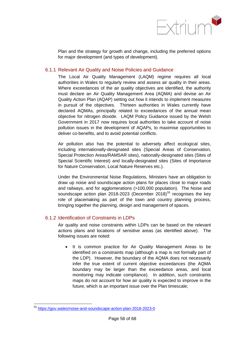

Plan and the strategy for growth and change, including the preferred options for major development (and types of development).

## 6.1.1 Relevant Air Quality and Noise Policies and Guidance

The Local Air Quality Management (LAQM) regime requires all local authorities in Wales to regularly review and assess air quality in their areas. Where exceedances of the air quality objectives are identified, the authority must declare an Air Quality Management Area (AQMA) and devise an Air Quality Action Plan (AQAP) setting out how it intends to implement measures in pursuit of the objectives. Thirteen authorities in Wales currently have declared AQMAs, principally related to exceedances of the annual mean objective for nitrogen dioxide. LAQM Policy Guidance issued by the Welsh Government in 2017 now requires local authorities to take account of noise pollution issues in the development of AQAPs, to maximise opportunities to deliver co-benefits, and to avoid potential conflicts.

Air pollution also has the potential to adversely affect ecological sites, including internationally-designated sites (Special Areas of Conservation, Special Protection Areas/RAMSAR sites), nationally-designated sites (Sites of Special Scientific Interest) and locally-designated sites (Sites of Importance for Nature Conservation, Local Nature Reserves etc.).

Under the Environmental Noise Regulations, Ministers have an obligation to draw up noise and soundscape action plans for places close to major roads and railways, and for agglomerations (>100,000 population). The Noise and soundscape action plan 2018-2023 (December 2018)<sup>[55](#page-62-0)</sup> recognises the key role of placemaking as part of the town and country planning process, bringing together the planning, design and management of spaces.

## 6.1.2 Identification of Constraints in LDPs

Air quality and noise constraints within LDPs can be based on the relevant actions plans and locations of sensitive areas (as identified above). The following issues are noted:

• It is common practice for Air Quality Management Areas to be identified on a constraints map (although a map is not formally part of the LDP). However, the boundary of the AQMA does not necessarily infer the true extent of current objective exceedances (the AQMA boundary may be larger than the exceedance areas, and local monitoring may indicate compliance). In addition, such constraints maps do not account for how air quality is expected to improve in the future, which is an important issue over the Plan timescale;

<span id="page-60-4"></span><span id="page-60-3"></span><span id="page-60-2"></span><span id="page-60-1"></span><span id="page-60-0"></span><sup>55</sup> <https://gov.wales/noise-and-soundscape-action-plan-2018-2023-0>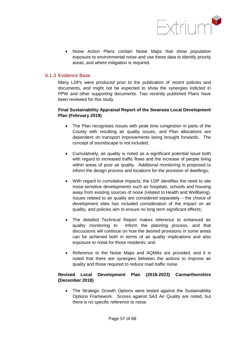

• Noise Action Plans contain Noise Maps that show population exposure to environmental noise and use these data to identify priority areas, and where mitigation is required.

## 6.1.3 Evidence Base

Many LDPs were produced prior to the publication of recent policies and documents, and might not be expected to show the synergies indicted in PPW and other supporting documents. Two recently published Plans have been reviewed for this study.

## **Final Sustainability Appraisal Report of the Swansea Local Development Plan (February 2019)**

- The Plan recognises issues with peak time congestion in parts of the County with resulting air quality issues, and Plan allocations are dependent on transport improvements being brought forwards. The concept of soundscape is not included;
- Cumulatively, air quality is noted as a significant potential issue both with regard to increased traffic flows and the increase of people living within areas of poor air quality. Additional monitoring is proposed to inform the design process and locations for the provision of dwellings:
- With regard to cumulative impacts, the LDP identifies the need to site noise-sensitive developments such as hospitals, schools and housing away from existing sources of noise (related to Health and Wellbeing). Issues related to air quality are considered separately – the choice of development sites has included consideration of the impact on air quality, and policies aim to ensure no long term significant effects;
- The detailed Technical Report makes reference to enhanced air quality monitoring to inform the planning process, and that discussions will continue on how the desired provisions in some areas can be achieved both in terms of air quality implications and also exposure to noise for those residents; and
- Reference to the Noise Maps and AQMAs are provided, and it is noted that there are synergies between the actions to improve air quality and those required to reduce road traffic noise.

## <span id="page-61-1"></span><span id="page-61-0"></span>**Revised Local Development Plan (2018-2023) Carmarthenshire (December 2018)**

• The Strategic Growth Options were tested against the Sustainability Options Framework. Scores against SA3 Air Quality are noted, but there is no specific reference to noise.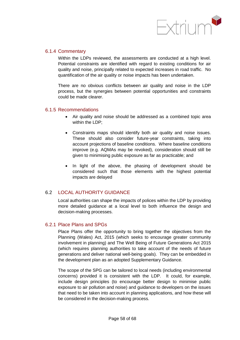

## 6.1.4 Commentary

Within the LDPs reviewed, the assessments are conducted at a high level. Potential constraints are identified with regard to existing conditions for air quality and noise, principally related to expected increases in road traffic. No quantification of the air quality or noise impacts has been undertaken.

There are no obvious conflicts between air quality and noise in the LDP process, but the synergies between potential opportunities and constraints could be made clearer.

## 6.1.5 Recommendations

- Air quality and noise should be addressed as a combined topic area within the LDP;
- Constraints maps should identify both air quality and noise issues. These should also consider future-year constraints, taking into account projections of baseline conditions. Where baseline conditions improve (e.g. AQMAs may be revoked), consideration should still be given to minimising public exposure as far as practicable; and
- In light of the above, the phasing of development should be considered such that those elements with the highest potential impacts are delayed

## 6.2 LOCAL AUTHORITY GUIDANCE

Local authorities can shape the impacts of polices within the LDP by providing more detailed guidance at a local level to both influence the design and decision-making processes.

## 6.2.1 Place Plans and SPGs

Place Plans offer the opportunity to bring together the objectives from the Planning (Wales) Act, 2015 (which seeks to encourage greater community involvement in planning) and The Well Being of Future Generations Act 2015 (which requires planning authorities to take account of the needs of future generations and deliver national well-being goals). They can be embedded in the development plan as an adopted Supplementary Guidance.

<span id="page-62-0"></span>The scope of the SPG can be tailored to local needs (including environmental concerns) provided it is consistent with the LDP. It could, for example, include design principles (to encourage better design to minimise public exposure to air pollution and noise) and guidance to developers on the issues that need to be taken into account in planning applications, and how these will be considered in the decision-making process.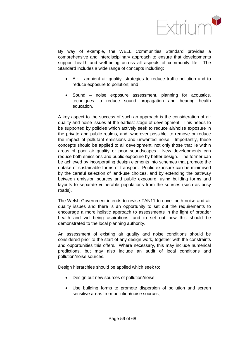

By way of example, the WELL Communities Standard provides a comprehensive and interdisciplinary approach to ensure that developments support health and well-being across all aspects of community life. The Standard includes a wide range of concepts including:

- Air ambient air quality, strategies to reduce traffic pollution and to reduce exposure to pollution; and
- Sound noise exposure assessment, planning for acoustics, techniques to reduce sound propagation and hearing health education.

A key aspect to the success of such an approach is the consideration of air quality and noise issues at the earliest stage of development. This needs to be supported by policies which actively seek to reduce air/noise exposure in the private and public realms, and, wherever possible, to remove or reduce the impact of pollutant emissions and unwanted noise. Importantly, these concepts should be applied to all development, not only those that lie within areas of poor air quality or poor soundscapes. New developments can reduce both emissions and public exposure by better design. The former can be achieved by incorporating design elements into schemes that promote the uptake of sustainable forms of transport. Public exposure can be minimised by the careful selection of land-use choices, and by extending the pathway between emission sources and public exposure, using building forms and layouts to separate vulnerable populations from the sources (such as busy roads).

The Welsh Government intends to revise TAN11 to cover both noise and air quality issues and there is an opportunity to set out the requirements to encourage a more holistic approach to assessments in the light of broader health and well-being aspirations, and to set out how this should be demonstrated to the local planning authority.

An assessment of existing air quality and noise conditions should be considered prior to the start of any design work, together with the constraints and opportunities this offers. Where necessary, this may include numerical predictions, but may also include an audit of local conditions and pollution/noise sources.

Design hierarchies should be applied which seek to:

- Design out new sources of pollution/noise;
- Use building forms to promote dispersion of pollution and screen sensitive areas from pollution/noise sources;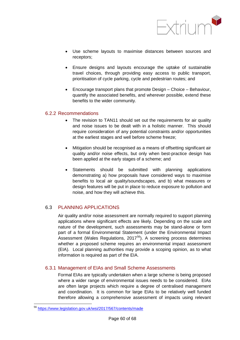

- Use scheme layouts to maximise distances between sources and receptors;
- Ensure designs and layouts encourage the uptake of sustainable travel choices, through providing easy access to public transport, prioritisation of cycle parking, cycle and pedestrian routes; and
- Encourage transport plans that promote Design Choice Behaviour, quantify the associated benefits, and wherever possible, extend these benefits to the wider community.

## 6.2.2 Recommendations

- The revision to TAN11 should set out the requirements for air quality and noise issues to be dealt with in a holistic manner. This should require consideration of any potential constraints and/or opportunities at the earliest stages and well before scheme freeze;
- Mitigation should be recognised as a means of offsetting significant air quality and/or noise effects, but only when best-practice design has been applied at the early stages of a scheme; and
- Statements should be submitted with planning applications demonstrating a) how proposals have considered ways to maximise benefits to local air quality/soundscapes, and b) what measures or design features will be put in place to reduce exposure to pollution and noise, and how they will achieve this.

## 6.3 PLANNING APPLICATIONS

Air quality and/or noise assessment are normally required to support planning applications where significant effects are likely. Depending on the scale and nature of the development, such assessments may be stand-alone or form part of a formal Environmental Statement (under the Environmental Impact Assessment (Wales Regulations, 2017<sup>56</sup>). A screening process determines whether a proposed scheme requires an environmental impact assessment (EIA). Local planning authorities may provide a scoping opinion, as to what information is required as part of the EIA.

## 6.3.1 Management of EIAs and Small Scheme Assessments

Formal EIAs are typically undertaken when a large scheme is being proposed where a wider range of environmental issues needs to be considered. EIAs are often large projects which require a degree of centralised management and coordination. It is common for large EIAs to be relatively well funded therefore allowing a comprehensive assessment of impacts using relevant

<sup>56</sup> <https://www.legislation.gov.uk/wsi/2017/567/contents/made>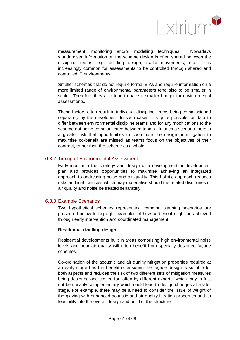

measurement, monitoring and/or modelling techniques. Nowadays standardised information on the scheme design is often shared between the discipline teams, e.g. building design, traffic movements, etc.. It is increasingly common for assessments to be controlled through shared and controlled IT environments.

Smaller schemes that do not require formal EIAs and require information on a more limited range of environmental parameters tend also to be smaller in scale. Therefore they also tend to have a smaller budget for environmental assessments.

These factors often result in individual discipline teams being commissioned separately by the developer. In such cases it is quite possible for data to differ between environmental discipline teams and for any modifications to the scheme not being communicated between teams. In such a scenario there is a greater risk that opportunities to coordinate the design or mitigation to maximise co-benefit are missed as teams focus on the objectives of their contract, rather than the scheme as a whole.

## 6.3.2 Timing of Environmental Assessment

Early input into the strategy and design of a development or development plan also provides opportunities to maximise achieving an integrated approach to addressing noise and air quality. This holistic approach reduces risks and inefficiencies which may materialise should the related disciplines of air quality and noise be treated separately.

## 6.3.3 Example Scenarios

Two hypothetical schemes representing common planning scenarios are presented below to highlight examples of how co-benefit might be achieved through early intervention and coordinated management.

#### **Residential dwelling design**

Residential developments built in areas comprising high environmental noise levels and poor air quality will often benefit from specially designed façade schemes.

Co-ordination of the acoustic and air quality mitigation properties required at an early stage has the benefit of ensuring the façade design is suitable for both aspects and reduces the risk of two different sets of mitigation measures being designed and costed for, often by different experts, which may in fact not be suitably complementary which could lead to design changes at a later stage. For example, there may be a need to consider the issue of weight of the glazing with enhanced acoustic and air quality filtration properties and its feasibility into the overall design and build of the structure.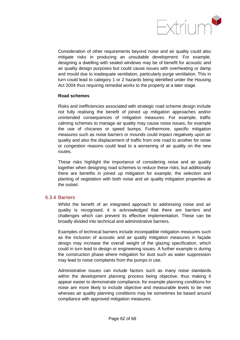

Consideration of other requirements beyond noise and air quality could also mitigate risks in producing an unsuitable development. For example, designing a dwelling with sealed windows may be of benefit for acoustic and air quality design purposes but could cause issues with overheating or damp and mould due to inadequate ventilation, particularly purge ventilation. This in turn could lead to category 1 or 2 hazards being identified under the Housing Act 2004 thus requiring remedial works to the property at a later stage.

#### **Road schemes**

Risks and inefficiencies associated with strategic road scheme design include not fully realising the benefit of joined up mitigation approaches and/or unintended consequences of mitigation measures. For example, traffic calming schemes to manage air quality may cause noise issues, for example the use of chicanes or speed bumps. Furthermore, specific mitigation measures such as noise barriers or mounds could impact negatively upon air quality and also the displacement of traffic from one road to another for noise or congestion reasons could lead to a worsening of air quality on the new routes.

These risks highlight the importance of considering noise and air quality together when designing road schemes to reduce these risks, but additionally there are benefits in joined up mitigation for example, the selection and planting of vegetation with both noise and air quality mitigation properties at the outset.

#### 6.3.4 Barriers

Whilst the benefit of an integrated approach to addressing noise and air quality is recognised, it is acknowledged that there are barriers and challenges which can prevent its effective implementation. These can be broadly divided into technical and administrative barriers.

Examples of technical barriers include incompatible mitigation measures such as the inclusion of acoustic and air quality mitigation measures in façade design may increase the overall weight of the glazing specification, which could in turn lead to design or engineering issues. A further example is during the construction phase where mitigation for dust such as water suppression may lead to noise complaints from the pumps in use.

<span id="page-66-0"></span>Administrative issues can include factors such as many noise standards within the development planning process being objective, thus making it appear easier to demonstrate compliance, for example planning conditions for noise are more likely to include objective and measurable levels to be met whereas air quality planning conditions may be sometimes be based around compliance with approved mitigation measures.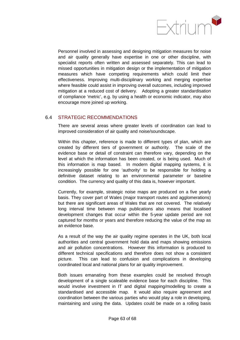

Personnel involved in assessing and designing mitigation measures for noise and air quality generally have expertise in one or other discipline, with specialist reports often written and assessed separately. This can lead to missed opportunities in mitigation design or the implementation of mitigation measures which have competing requirements which could limit their effectiveness. Improving multi-disciplinary working and merging expertise where feasible could assist in improving overall outcomes, including improved mitigation at a reduced cost of delivery. Adopting a greater standardisation of compliance 'metric', e.g. by using a health or economic indicator, may also encourage more joined up working.

## 6.4 STRATEGIC RECOMMENDATIONS

There are several areas where greater levels of coordination can lead to improved consideration of air quality and noise/soundscape.

Within this chapter, reference is made to different types of plan, which are created by different tiers of government or authority. The scale of the evidence base or detail of constraint can therefore vary, depending on the level at which the information has been created, or is being used. Much of this information is map based. In modern digital mapping systems, it is increasingly possible for one 'authority' to be responsible for holding a definitive dataset relating to an environmental parameter or baseline condition. The currency and quality of this data is, however important.

Currently, for example, strategic noise maps are produced on a five yearly basis. They cover part of Wales (major transport routes and agglomerations) but there are significant areas of Wales that are not covered. The relatively long interval time between map publications also means that localised development changes that occur within the 5-year update period are not captured for months or years and therefore reducing the value of the map as an evidence base.

As a result of the way the air quality regime operates in the UK, both local authorities and central government hold data and maps showing emissions and air pollution concentrations. However this information is produced to different technical specifications and therefore does not show a consistent picture. This can lead to confusion and complications in developing coordinated local and national plans for air quality improvement.

Both issues emanating from these examples could be resolved through development of a single scaleable evidence base for each discipline. This would involve investment in IT and digital mapping/modelling to create a standardised and accessible map. It would also require agreement and coordination between the various parties who would play a role in developing, maintaining and using the data. Updates could be made on a rolling basis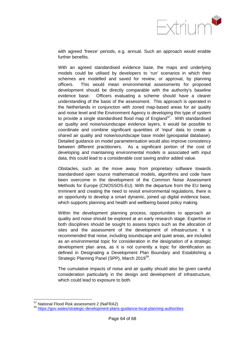

with agreed 'freeze' periods, e.g. annual. Such an approach would enable further benefits.

With an agreed standardised evidence base, the maps and underlying models could be utilised by developers to 'run' scenarios in which their schemes are modelled and saved for review, or approval, by planning officers. This would mean environmental assessments for proposed development should be directly comparable with the authority's baseline evidence base. Officers evaluating a scheme should have a clearer understanding of the basis of the assessment. This approach is operated in the Netherlands in conjunction with zoned map-based areas for air quality and noise level and the Environment Agency is developing this type of system to provide a single standardised flood map of  $E$ ngland $57$ . With standardised air quality and noise/soundscape evidence layers, it would be possible to coordinate and combine significant quantities of 'input' data to create a shared air quality and noise/soundscape base model (geospatial database). Detailed guidance on model parameterisation would also improve consistency between different practitioners. As a significant portion of the cost of developing and maintaining environmental models is associated with input data, this could lead to a considerable cost saving and/or added value.

Obstacles, such as the move away from proprietary software towards standardised open source mathematical models, algorithms and code have been overcome in the development of the Common Noise Assessment Methods for Europe (CNOSSOS-EU). With the departure from the EU being imminent and creating the need to revisit environmental regulations, there is an opportunity to develop a smart dynamic, joined up digital evidence base, which supports planning and health and wellbeing based policy making.

Within the development planning process, opportunities to approach air quality and noise should be explored at an early research stage. Expertise in both disciplines should be sought to assess topics such as the allocation of sites and the assessment of the development of infrastructure. It is recommended that noise, including soundscape and quiet areas, are included as an environmental topic for consideration in the designation of a strategic development plan area, as it is not currently a topic for identification as defined in Designating a Development Plan Boundary and Establishing a Strategic Planning Panel (SPP), March 2019<sup>[58](#page-70-1)</sup>.

The cumulative impacts of noise and air quality should also be given careful consideration particularly in the design and development of infrastructure, which could lead to exposure to both.

<sup>&</sup>lt;sup>57</sup> National Flood Risk assessment 2 (NaFRA2)<br><sup>58</sup> <https://gov.wales/strategic-development-plans-guidance-local-planning-authorities>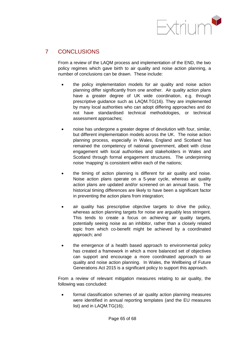

# 7 CONCLUSIONS

From a review of the LAQM process and implementation of the END, the two policy regimes which gave birth to air quality and noise action planning, a number of conclusions can be drawn. These include:

- the policy implementation models for air quality and noise action planning differ significantly from one another. Air quality action plans have a greater degree of UK wide coordination, e.g. through prescriptive guidance such as LAQM.TG(16). They are implemented by many local authorities who can adopt differing approaches and do not have standardised technical methodologies, or technical assessment approaches;
- noise has undergone a greater degree of devolution with four, similar, but different implementation models across the UK. The noise action planning process, especially in Wales, England and Scotland has remained the competency of national government, albeit with close engagement with local authorities and stakeholders in Wales and Scotland through formal engagement structures. The underpinning noise 'mapping' is consistent within each of the nations;
- the timing of action planning is different for air quality and noise. Noise action plans operate on a 5-year cycle, whereas air quality action plans are updated and/or screened on an annual basis. The historical timing differences are likely to have been a significant factor in preventing the action plans from integration;
- air quality has prescriptive objective targets to drive the policy, whereas action planning targets for noise are arguably less stringent. This tends to create a focus on achieving air quality targets, potentially seeing noise as an inhibitor, rather than a closely related topic from which co-benefit might be achieved by a coordinated approach; and
- the emergence of a health based approach to environmental policy has created a framework in which a more balanced set of objectives can support and encourage a more coordinated approach to air quality and noise action planning. In Wales, the Wellbeing of Future Generations Act 2015 is a significant policy to support this approach.

From a review of relevant mitigation measures relating to air quality, the following was concluded:

• formal classification schemes of air quality action planning measures were identified in annual reporting templates (and the EU measures list) and in LAQM.TG(16);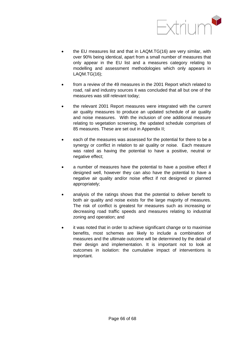

- the EU measures list and that in LAQM.TG(16) are very similar, with over 90% being identical, apart from a small number of measures that only appear in the EU list and a measures category relating to modelling and assessment methodologies which only appears in LAQM.TG(16);
- from a review of the 49 measures in the 2001 Report which related to road, rail and industry sources it was concluded that all but one of the measures was still relevant today;
- the relevant 2001 Report measures were integrated with the current air quality measures to produce an updated schedule of air quality and noise measures. With the inclusion of one additional measure relating to vegetation screening, the updated schedule comprises of 85 measures. These are set out in Appendix II;
- each of the measures was assessed for the potential for there to be a synergy or conflict in relation to air quality or noise. Each measure was rated as having the potential to have a positive, neutral or negative effect;
- a number of measures have the potential to have a positive effect if designed well, however they can also have the potential to have a negative air quality and/or noise effect if not designed or planned appropriately;
- analysis of the ratings shows that the potential to deliver benefit to both air quality and noise exists for the large majority of measures. The risk of conflict is greatest for measures such as increasing or decreasing road traffic speeds and measures relating to industrial zoning and operation; and
- <span id="page-70-1"></span><span id="page-70-0"></span>• it was noted that in order to achieve significant change or to maximise benefits, most schemes are likely to include a combination of measures and the ultimate outcome will be determined by the detail of their design and implementation. It is important not to look at outcomes in isolation: the cumulative impact of interventions is important.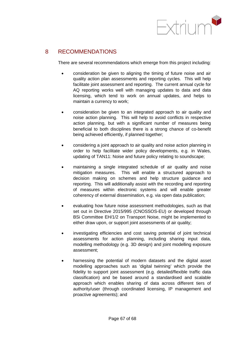

# 8 RECOMMENDATIONS

There are several recommendations which emerge from this project including:

- consideration be given to aligning the timing of future noise and air quality action plan assessments and reporting cycles. This will help facilitate joint assessment and reporting. The current annual cycle for AQ reporting works well with managing updates to data and data licensing, which tend to work on annual updates, and helps to maintain a currency to work;
- consideration be given to an integrated approach to air quality and noise action planning. This will help to avoid conflicts in respective action planning, but with a significant number of measures being beneficial to both disciplines there is a strong chance of co-benefit being achieved efficiently, if planned together;
- considering a joint approach to air quality and noise action planning in order to help facilitate wider policy developments, e.g. in Wales, updating of TAN11: Noise and future policy relating to soundscape;
- maintaining a single integrated schedule of air quality and noise mitigation measures. This will enable a structured approach to decision making on schemes and help structure guidance and reporting. This will additionally assist with the recording and reporting of measures within electronic systems and will enable greater coherency of external dissemination, e.g. via open data publication;
- evaluating how future noise assessment methodologies, such as that set out in Directive 2015/995 (CNOSSOS-EU) or developed through BSi Committee EH/1/2 on Transport Noise, might be implemented to either draw upon, or support joint assessments of air quality;
- investigating efficiencies and cost saving potential of joint technical assessments for action planning, including sharing input data, modelling methodology (e.g. 3D design) and joint modelling exposure assessment;
- harnessing the potential of modern datasets and the digital asset modelling approaches such as 'digital twinning' which provide the fidelity to support joint assessment (e.g. detailed/flexible traffic data classification) and be based around a standardised and scalable approach which enables sharing of data across different tiers of authority/user (through coordinated licensing, IP management and proactive agreements); and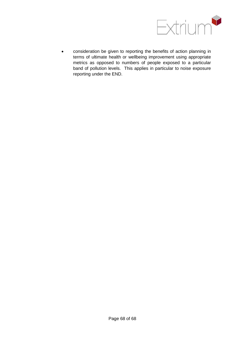

• consideration be given to reporting the benefits of action planning in terms of ultimate health or wellbeing improvement using appropriate metrics as opposed to numbers of people exposed to a particular band of pollution levels. This applies in particular to noise exposure reporting under the END.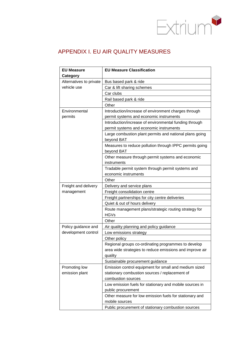

# APPENDIX I. EU AIR QUALITY MEASURES

| <b>EU Measure</b>       | <b>EU Measure Classification</b>                                          |
|-------------------------|---------------------------------------------------------------------------|
| <b>Category</b>         |                                                                           |
| Alternatives to private | Bus based park & ride                                                     |
| vehicle use             | Car & lift sharing schemes                                                |
|                         | Car clubs                                                                 |
|                         | Rail based park & ride                                                    |
|                         | Other                                                                     |
| Environmental           | Introduction/increase of environment charges through                      |
| permits                 | permit systems and economic instruments                                   |
|                         | Introduction/increase of environmental funding through                    |
|                         | permit systems and economic instruments                                   |
|                         | Large combustion plant permits and national plans going<br>beyond BAT     |
|                         | Measures to reduce pollution through IPPC permits going<br>beyond BAT     |
|                         | Other measure through permit systems and economic<br>instruments          |
|                         | Tradable permit system through permit systems and<br>economic instruments |
|                         | Other                                                                     |
| Freight and delivery    | Delivery and service plans                                                |
| management              | Freight consolidation centre                                              |
|                         | Freight partnerships for city centre deliveries                           |
|                         | Quiet & out of hours delivery                                             |
|                         | Route management plans/strategic routing strategy for<br><b>HGVs</b>      |
|                         | Other                                                                     |
| Policy guidance and     | Air quality planning and policy guidance                                  |
| development control     | Low emissions strategy                                                    |
|                         | Other policy                                                              |
|                         | Regional groups co-ordinating programmes to develop                       |
|                         | area wide strategies to reduce emissions and improve air                  |
|                         | quality                                                                   |
|                         | Sustainable procurement guidance                                          |
| Promoting low           | Emission control equipment for small and medium sized                     |
| emission plant          | stationary combustion sources / replacement of                            |
|                         | combustion sources                                                        |
|                         | Low emission fuels for stationary and mobile sources in                   |
|                         | public procurement                                                        |
|                         | Other measure for low emission fuels for stationary and                   |
|                         | mobile sources                                                            |
|                         | Public procurement of stationary combustion sources                       |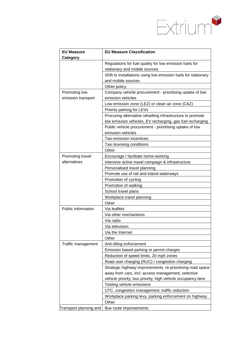

| <b>EU Measure</b>                            | <b>EU Measure Classification</b>                                                                                                                                                                                                                                                                                                                                                                                                                                                                                                        |
|----------------------------------------------|-----------------------------------------------------------------------------------------------------------------------------------------------------------------------------------------------------------------------------------------------------------------------------------------------------------------------------------------------------------------------------------------------------------------------------------------------------------------------------------------------------------------------------------------|
| Category                                     |                                                                                                                                                                                                                                                                                                                                                                                                                                                                                                                                         |
|                                              | Regulations for fuel quality for low emission fuels for                                                                                                                                                                                                                                                                                                                                                                                                                                                                                 |
|                                              | stationary and mobile sources                                                                                                                                                                                                                                                                                                                                                                                                                                                                                                           |
|                                              | Shift to installations using low emission fuels for stationary                                                                                                                                                                                                                                                                                                                                                                                                                                                                          |
|                                              | and mobile sources                                                                                                                                                                                                                                                                                                                                                                                                                                                                                                                      |
|                                              | Other policy                                                                                                                                                                                                                                                                                                                                                                                                                                                                                                                            |
| Promoting low                                | Company vehicle procurement - prioritising uptake of low                                                                                                                                                                                                                                                                                                                                                                                                                                                                                |
| emission transport                           | emission vehicles                                                                                                                                                                                                                                                                                                                                                                                                                                                                                                                       |
|                                              | Low emission zone (LEZ) or clean air zone (CAZ)                                                                                                                                                                                                                                                                                                                                                                                                                                                                                         |
|                                              | Priority parking for LEVs                                                                                                                                                                                                                                                                                                                                                                                                                                                                                                               |
|                                              | Procuring alternative refuelling infrastructure to promote                                                                                                                                                                                                                                                                                                                                                                                                                                                                              |
|                                              | low emission vehicles, EV recharging, gas fuel recharging                                                                                                                                                                                                                                                                                                                                                                                                                                                                               |
|                                              | Public vehicle procurement - prioritising uptake of low                                                                                                                                                                                                                                                                                                                                                                                                                                                                                 |
|                                              | emission vehicles                                                                                                                                                                                                                                                                                                                                                                                                                                                                                                                       |
|                                              | Taxi emission incentives                                                                                                                                                                                                                                                                                                                                                                                                                                                                                                                |
|                                              | Taxi licensing conditions                                                                                                                                                                                                                                                                                                                                                                                                                                                                                                               |
|                                              | Other                                                                                                                                                                                                                                                                                                                                                                                                                                                                                                                                   |
| Promoting travel                             | Encourage / facilitate home-working                                                                                                                                                                                                                                                                                                                                                                                                                                                                                                     |
| alternatives                                 | Intensive active travel campaign & infrastructure                                                                                                                                                                                                                                                                                                                                                                                                                                                                                       |
|                                              | Personalised travel planning                                                                                                                                                                                                                                                                                                                                                                                                                                                                                                            |
|                                              | Promote use of rail and inland waterways                                                                                                                                                                                                                                                                                                                                                                                                                                                                                                |
|                                              | Promotion of cycling                                                                                                                                                                                                                                                                                                                                                                                                                                                                                                                    |
|                                              | Promotion of walking                                                                                                                                                                                                                                                                                                                                                                                                                                                                                                                    |
|                                              | School travel plans                                                                                                                                                                                                                                                                                                                                                                                                                                                                                                                     |
|                                              | Workplace travel planning                                                                                                                                                                                                                                                                                                                                                                                                                                                                                                               |
|                                              | Other                                                                                                                                                                                                                                                                                                                                                                                                                                                                                                                                   |
| Public information                           | Via leaflets                                                                                                                                                                                                                                                                                                                                                                                                                                                                                                                            |
|                                              | Via other mechanisms                                                                                                                                                                                                                                                                                                                                                                                                                                                                                                                    |
|                                              | Via radio                                                                                                                                                                                                                                                                                                                                                                                                                                                                                                                               |
|                                              | Via television                                                                                                                                                                                                                                                                                                                                                                                                                                                                                                                          |
|                                              | Via the Internet                                                                                                                                                                                                                                                                                                                                                                                                                                                                                                                        |
|                                              |                                                                                                                                                                                                                                                                                                                                                                                                                                                                                                                                         |
|                                              |                                                                                                                                                                                                                                                                                                                                                                                                                                                                                                                                         |
|                                              |                                                                                                                                                                                                                                                                                                                                                                                                                                                                                                                                         |
|                                              |                                                                                                                                                                                                                                                                                                                                                                                                                                                                                                                                         |
|                                              |                                                                                                                                                                                                                                                                                                                                                                                                                                                                                                                                         |
|                                              |                                                                                                                                                                                                                                                                                                                                                                                                                                                                                                                                         |
|                                              |                                                                                                                                                                                                                                                                                                                                                                                                                                                                                                                                         |
|                                              |                                                                                                                                                                                                                                                                                                                                                                                                                                                                                                                                         |
|                                              |                                                                                                                                                                                                                                                                                                                                                                                                                                                                                                                                         |
|                                              |                                                                                                                                                                                                                                                                                                                                                                                                                                                                                                                                         |
|                                              |                                                                                                                                                                                                                                                                                                                                                                                                                                                                                                                                         |
|                                              |                                                                                                                                                                                                                                                                                                                                                                                                                                                                                                                                         |
|                                              |                                                                                                                                                                                                                                                                                                                                                                                                                                                                                                                                         |
| Traffic management<br>Transport planning and | Other<br>Anti-idling enforcement<br>Emission based parking or permit charges<br>Reduction of speed limits, 20 mph zones<br>Road user charging (RUC) / congestion charging<br>Strategic highway improvements, re-prioritising road space<br>away from cars, incl. access management, selective<br>vehicle priority, bus priority, high vehicle occupancy lane<br>Testing vehicle emissions<br>UTC, congestion management, traffic reduction<br>Workplace parking levy, parking enforcement on highway<br>Other<br>Bus route improvements |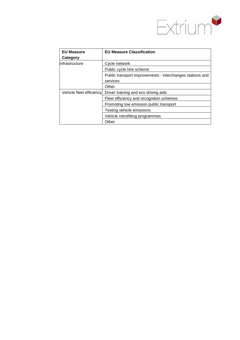

| <b>EU Measure</b>        | <b>EU Measure Classification</b>                          |
|--------------------------|-----------------------------------------------------------|
| Category                 |                                                           |
| linfrastructure          | Cycle network                                             |
|                          | Public cycle hire scheme                                  |
|                          | Public transport improvements - interchanges stations and |
|                          | services                                                  |
|                          | Other                                                     |
| Vehicle fleet efficiency | Driver training and eco driving aids                      |
|                          | Fleet efficiency and recognition schemes                  |
|                          | Promoting low emission public transport                   |
|                          | Testing vehicle emissions                                 |
|                          | Vehicle retrofitting programmes                           |
|                          | Other                                                     |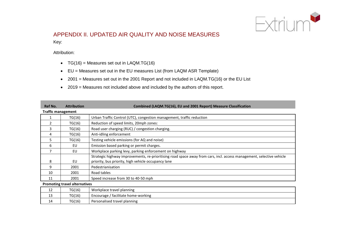

# APPENDIX II. UPDATED AIR QUALITY AND NOISE MEASURES

Key:

Attribution:

•  $TG(16)$  = Measures set out in LAQM.TG $(16)$ 

14 | TG(16) | Personalised travel planning

- EU = Measures set out in the EU measures List (from LAQM ASR Template)
- 2001 = Measures set out in the 2001 Report and not included in LAQM.TG(16) or the EU List
- 2019 = Measures not included above and included by the authors of this report.

| Ref No.                              | <b>Attribution</b>        | Combined (LAQM.TG(16), EU and 2001 Report) Measure Classification                                                     |  |
|--------------------------------------|---------------------------|-----------------------------------------------------------------------------------------------------------------------|--|
|                                      | <b>Traffic management</b> |                                                                                                                       |  |
|                                      | TG(16)                    | Urban Traffic Control (UTC), congestion management, traffic reduction                                                 |  |
| 2                                    | TG(16)                    | Reduction of speed limits, 20mph zones:                                                                               |  |
| 3                                    | TG(16)                    | Road user charging (RUC) / congestion charging.                                                                       |  |
| 4                                    | TG(16)                    | Anti-idling enforcement                                                                                               |  |
| 5                                    | TG(16)                    | Testing vehicle emissions (for AQ and noise)                                                                          |  |
| 6                                    | EU                        | Emission based parking or permit charges.                                                                             |  |
|                                      | EU                        | Workplace parking levy, parking enforcement on highway                                                                |  |
|                                      |                           | Strategic highway improvements, re-prioritising road space away from cars, incl. access management, selective vehicle |  |
| 8                                    | EU                        | priority, bus priority, high vehicle occupancy lane                                                                   |  |
| 9                                    | 2001                      | Pedestrianisation                                                                                                     |  |
| 10                                   | 2001                      | Road tables                                                                                                           |  |
| 11                                   | 2001                      | Speed increase from 30 to 40-50 mph                                                                                   |  |
| <b>Promoting travel alternatives</b> |                           |                                                                                                                       |  |
| 12                                   | TG(16)                    | Workplace travel planning                                                                                             |  |
| 13                                   | TG(16)                    | Encourage / facilitate home-working                                                                                   |  |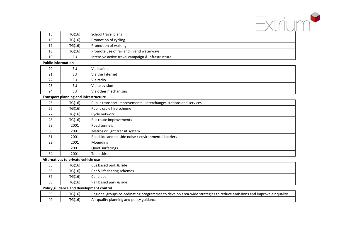

| 15 | TG(16) | School travel plans                               |
|----|--------|---------------------------------------------------|
| 16 | TG(16) | Promotion of cycling                              |
|    | TG(16) | Promotion of walking                              |
| 18 | TG(16) | Promote use of rail and inland waterways          |
| 19 | EU     | Intensive active travel campaign & infrastructure |

#### **Public information**

| 20      | EU | Via leaflets         |
|---------|----|----------------------|
| 21<br>ᅀ | EU | Via the Internet     |
| 22      | EU | Via radio            |
| 23      | EU | Via television       |
| 24      | EU | Via other mechanisms |

#### **Transport planning and infrastructure**

| 25 | TG(16) | Public transport improvements - interchanges stations and services |
|----|--------|--------------------------------------------------------------------|
| 26 | TG(16) | Public cycle hire scheme                                           |
| 27 | TG(16) | Cycle network                                                      |
| 28 | TG(16) | Bus route improvements                                             |
| 29 | 2001   | Road tunnels                                                       |
| 30 | 2001   | Metros or light transit system                                     |
| 31 | 2001   | Roadside and railside noise / environmental barriers               |
| 32 | 2001   | Mounding                                                           |
| 33 | 2001   | Quiet surfacings                                                   |
| 34 | 2001   | Train skirts                                                       |

#### **Alternatives to private vehicle use**

| 35 | TG(16) | Bus based park & ride      |
|----|--------|----------------------------|
| 36 | TG(16) | Car & lift sharing schemes |
| 37 | TG(16) | Car clubs                  |
| 38 | TG(16) | Rail based park & ride     |

#### **Policy guidance and development control**

| ാറ<br>-- | TG(16) | Regional groups co-ordinating<br>g programmes to develop area-wide strategies to reduce emissions and i<br>' qualitv<br>l improve<br>. air |
|----------|--------|--------------------------------------------------------------------------------------------------------------------------------------------|
| 40       | TG(16) | guality planning and policy '<br>, guidance<br>Air                                                                                         |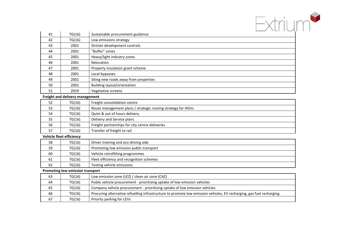

| 41 | TG(16) | Sustainable procurement guidance      |
|----|--------|---------------------------------------|
| 42 | TG(16) | Low emissions strategy                |
| 43 | 2001   | Stricter development controls         |
| 44 | 2001   | "Buffer" zones                        |
| 45 | 2001   | Heavy/light industry zones            |
| 46 | 2001   | Relocation                            |
| 47 | 2001   | Property insulation grant scheme      |
| 48 | 2001   | Local bypasses                        |
| 49 | 2001   | Siting new roads away from properties |
| 50 | 2001   | Building layout/orientation           |
| 51 | 2019   | Vegetative screens                    |

### **Freight and delivery management**

| 52 | TG(16) | Freight consolidation centre                                 |
|----|--------|--------------------------------------------------------------|
| 53 | TG(16) | Route management plans / strategic routing strategy for HGVs |
| 54 | TG(16) | Quiet & out of hours delivery                                |
| 55 | TG(16) | Delivery and Service plans                                   |
| 56 | TG(16) | Freight partnerships for city centre deliveries              |
|    | TG(16) | Transfer of freight to rail                                  |

## **Vehicle fleet efficiency**

| 58 | TG(16) | Driver training and eco driving aids     |
|----|--------|------------------------------------------|
| 59 | TG(16) | Promoting low emission public transport  |
| 60 | TG(16) | Vehicle retrofitting programmes          |
| 61 | TG(16) | Fleet efficiency and recognition schemes |
| 62 | TG(16) | Testing vehicle emissions                |

#### **Promoting low emission transport**

| 63 | TG(16) | Low emission zone (LEZ) / clean air zone (CAZ)                                                                        |
|----|--------|-----------------------------------------------------------------------------------------------------------------------|
| 64 | TG(16) | Public vehicle procurement - prioritising uptake of low emission vehicles                                             |
| 65 | TG(16) | Company vehicle procurement - prioritising uptake of low emission vehicles                                            |
| 66 | TG(16) | Procuring alternative refuelling infrastructure to promote low emission vehicles, EV recharging, gas fuel recharging. |
| 67 | TG(16) | Priority parking for LEVs                                                                                             |